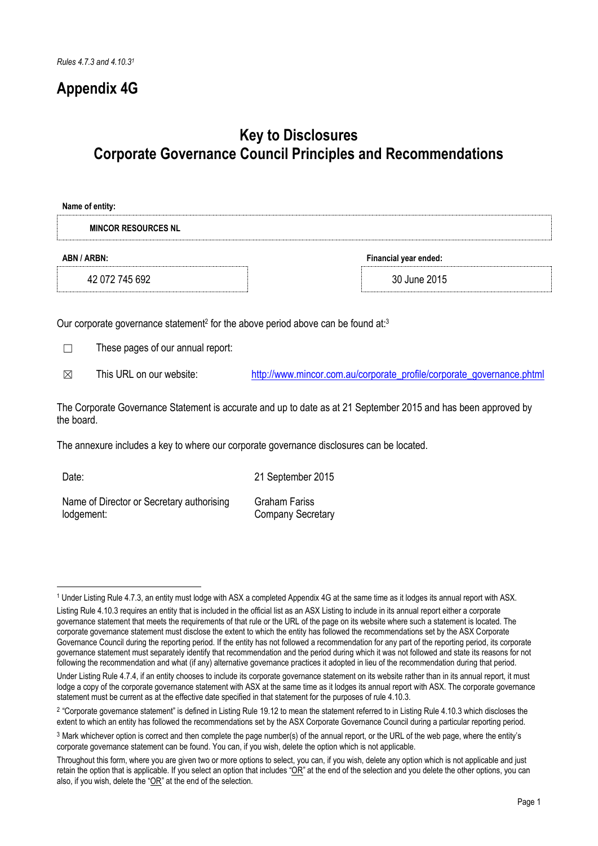# **Appendix 4G**

# **Key to Disclosures Corporate Governance Council Principles and Recommendations**

| Name of entity:            |                       |
|----------------------------|-----------------------|
| <b>MINCOR RESOURCES NL</b> |                       |
| ABN / ARBN:                | Financial year ended: |
| 42 072 745 692             | 30 June 2015          |

Our corporate governance statement<sup>2</sup> for the above period above can be found at:<sup>3</sup>

☐ These pages of our annual report:

 $\boxtimes$  This URL on our website: [http://www.mincor.com.au/corporate\\_profile/corporate\\_governance.phtml](http://www.mincor.com.au/corporate_profile/corporate_governance.phtml)

The Corporate Governance Statement is accurate and up to date as at 21 September 2015 and has been approved by the board.

The annexure includes a key to where our corporate governance disclosures can be located.

| Date:                                     | 21 September 2015        |
|-------------------------------------------|--------------------------|
| Name of Director or Secretary authorising | Graham Fariss            |
| lodgement:                                | <b>Company Secretary</b> |

<sup>-</sup><sup>1</sup> Under Listing Rule 4.7.3, an entity must lodge with ASX a completed Appendix 4G at the same time as it lodges its annual report with ASX.

Listing Rule 4.10.3 requires an entity that is included in the official list as an ASX Listing to include in its annual report either a corporate governance statement that meets the requirements of that rule or the URL of the page on its website where such a statement is located. The corporate governance statement must disclose the extent to which the entity has followed the recommendations set by the ASX Corporate Governance Council during the reporting period. If the entity has not followed a recommendation for any part of the reporting period, its corporate governance statement must separately identify that recommendation and the period during which it was not followed and state its reasons for not following the recommendation and what (if any) alternative governance practices it adopted in lieu of the recommendation during that period.

Under Listing Rule 4.7.4, if an entity chooses to include its corporate governance statement on its website rather than in its annual report, it must lodge a copy of the corporate governance statement with ASX at the same time as it lodges its annual report with ASX. The corporate governance statement must be current as at the effective date specified in that statement for the purposes of rule 4.10.3.

<sup>2</sup> "Corporate governance statement" is defined in Listing Rule 19.12 to mean the statement referred to in Listing Rule 4.10.3 which discloses the extent to which an entity has followed the recommendations set by the ASX Corporate Governance Council during a particular reporting period.

<sup>3</sup> Mark whichever option is correct and then complete the page number(s) of the annual report, or the URL of the web page, where the entity's corporate governance statement can be found. You can, if you wish, delete the option which is not applicable.

Throughout this form, where you are given two or more options to select, you can, if you wish, delete any option which is not applicable and just retain the option that is applicable. If you select an option that includes " $OR$ " at the end of the selection and you delete the other options, you can also, if you wish, delete the "OR" at the end of the selection.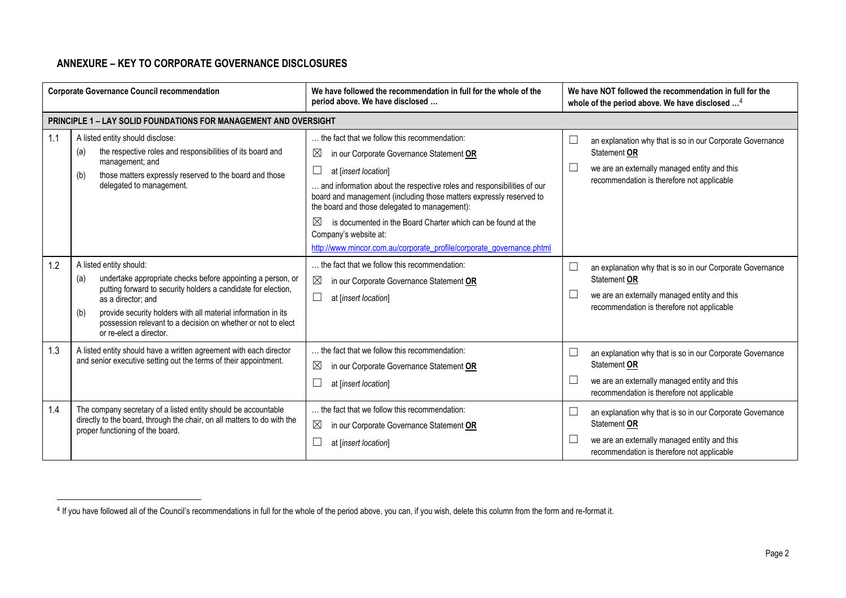# **ANNEXURE – KEY TO CORPORATE GOVERNANCE DISCLOSURES**

-

| <b>Corporate Governance Council recommendation</b> |                                                                                                                                                                                                                                                                                                                                                         | We have followed the recommendation in full for the whole of the<br>period above. We have disclosed                                                                                                                                                                                                                                                                                                                                                                                                                | We have NOT followed the recommendation in full for the<br>whole of the period above. We have disclosed <sup>4</sup>                                                                          |
|----------------------------------------------------|---------------------------------------------------------------------------------------------------------------------------------------------------------------------------------------------------------------------------------------------------------------------------------------------------------------------------------------------------------|--------------------------------------------------------------------------------------------------------------------------------------------------------------------------------------------------------------------------------------------------------------------------------------------------------------------------------------------------------------------------------------------------------------------------------------------------------------------------------------------------------------------|-----------------------------------------------------------------------------------------------------------------------------------------------------------------------------------------------|
|                                                    | <b>PRINCIPLE 1 - LAY SOLID FOUNDATIONS FOR MANAGEMENT AND OVERSIGHT</b>                                                                                                                                                                                                                                                                                 |                                                                                                                                                                                                                                                                                                                                                                                                                                                                                                                    |                                                                                                                                                                                               |
| 1.1                                                | A listed entity should disclose:<br>the respective roles and responsibilities of its board and<br>(a)<br>management; and<br>those matters expressly reserved to the board and those<br>(b)<br>delegated to management.                                                                                                                                  | the fact that we follow this recommendation:<br>⊠<br>in our Corporate Governance Statement OR<br>at [insert location]<br>$\Box$<br>and information about the respective roles and responsibilities of our<br>board and management (including those matters expressly reserved to<br>the board and those delegated to management):<br>$\boxtimes$<br>is documented in the Board Charter which can be found at the<br>Company's website at:<br>http://www.mincor.com.au/corporate_profile/corporate_governance.phtml | an explanation why that is so in our Corporate Governance<br>∟<br>Statement OR<br>we are an externally managed entity and this<br>$\frac{1}{2}$<br>recommendation is therefore not applicable |
| 1.2                                                | A listed entity should:<br>undertake appropriate checks before appointing a person, or<br>(a)<br>putting forward to security holders a candidate for election,<br>as a director: and<br>provide security holders with all material information in its<br>(b)<br>possession relevant to a decision on whether or not to elect<br>or re-elect a director. | the fact that we follow this recommendation:<br>⊠<br>in our Corporate Governance Statement OR<br>⊔<br>at [insert location]                                                                                                                                                                                                                                                                                                                                                                                         | L<br>an explanation why that is so in our Corporate Governance<br>Statement OR<br>we are an externally managed entity and this<br>$\Box$<br>recommendation is therefore not applicable        |
| 1.3                                                | A listed entity should have a written agreement with each director<br>and senior executive setting out the terms of their appointment.                                                                                                                                                                                                                  | the fact that we follow this recommendation:<br>⊠<br>in our Corporate Governance Statement OR<br>at [insert location]                                                                                                                                                                                                                                                                                                                                                                                              | an explanation why that is so in our Corporate Governance<br>└<br>Statement OR<br>we are an externally managed entity and this<br>L<br>recommendation is therefore not applicable             |
| 1.4                                                | The company secretary of a listed entity should be accountable<br>directly to the board, through the chair, on all matters to do with the<br>proper functioning of the board.                                                                                                                                                                           | the fact that we follow this recommendation:<br>⊠<br>in our Corporate Governance Statement OR<br>at [insert location]                                                                                                                                                                                                                                                                                                                                                                                              | an explanation why that is so in our Corporate Governance<br>Statement OR<br>we are an externally managed entity and this<br>L<br>recommendation is therefore not applicable                  |

<sup>4</sup> If you have followed all of the Council's recommendations in full for the whole of the period above, you can, if you wish, delete this column from the form and re-format it.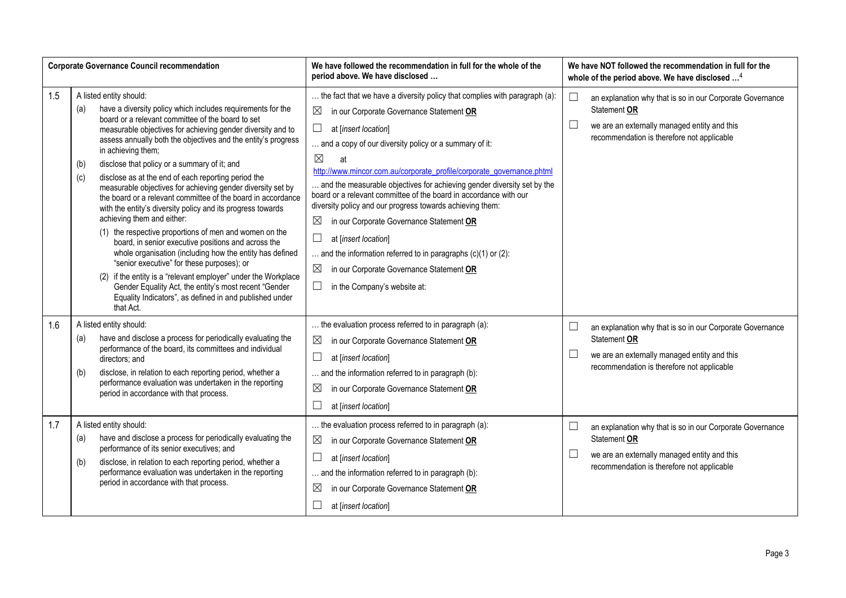|     |                   | <b>Corporate Governance Council recommendation</b>                                                                                                                                                                                                                                                                                                                                                                                                                                                                                                                                                                                                                                                                                                                                                                                                                                                                                                                                                                                                                 | We have followed the recommendation in full for the whole of the<br>period above. We have disclosed                                                                                                                                                                                                                                                                                                                                                                                                                                                                                                                                                                                                                                                                                                            | We have NOT followed the recommendation in full for the<br>whole of the period above. We have disclosed <sup>4</sup> |                                                                                                                                                                         |
|-----|-------------------|--------------------------------------------------------------------------------------------------------------------------------------------------------------------------------------------------------------------------------------------------------------------------------------------------------------------------------------------------------------------------------------------------------------------------------------------------------------------------------------------------------------------------------------------------------------------------------------------------------------------------------------------------------------------------------------------------------------------------------------------------------------------------------------------------------------------------------------------------------------------------------------------------------------------------------------------------------------------------------------------------------------------------------------------------------------------|----------------------------------------------------------------------------------------------------------------------------------------------------------------------------------------------------------------------------------------------------------------------------------------------------------------------------------------------------------------------------------------------------------------------------------------------------------------------------------------------------------------------------------------------------------------------------------------------------------------------------------------------------------------------------------------------------------------------------------------------------------------------------------------------------------------|----------------------------------------------------------------------------------------------------------------------|-------------------------------------------------------------------------------------------------------------------------------------------------------------------------|
| 1.5 | (a)<br>(b)<br>(c) | A listed entity should:<br>have a diversity policy which includes requirements for the<br>board or a relevant committee of the board to set<br>measurable objectives for achieving gender diversity and to<br>assess annually both the objectives and the entity's progress<br>in achieving them;<br>disclose that policy or a summary of it; and<br>disclose as at the end of each reporting period the<br>measurable objectives for achieving gender diversity set by<br>the board or a relevant committee of the board in accordance<br>with the entity's diversity policy and its progress towards<br>achieving them and either:<br>(1) the respective proportions of men and women on the<br>board, in senior executive positions and across the<br>whole organisation (including how the entity has defined<br>"senior executive" for these purposes); or<br>(2) if the entity is a "relevant employer" under the Workplace<br>Gender Equality Act, the entity's most recent "Gender<br>Equality Indicators", as defined in and published under<br>that Act. | the fact that we have a diversity policy that complies with paragraph (a):<br>in our Corporate Governance Statement OR<br>$\boxtimes$<br>$\Box$<br>at [insert location]<br>and a copy of our diversity policy or a summary of it:<br>$\boxtimes$<br>at<br>http://www.mincor.com.au/corporate_profile/corporate_governance.phtml<br>and the measurable objectives for achieving gender diversity set by the<br>board or a relevant committee of the board in accordance with our<br>diversity policy and our progress towards achieving them:<br>in our Corporate Governance Statement OR<br>$\boxtimes$<br>$\Box$<br>at [insert location]<br>and the information referred to in paragraphs $(c)(1)$ or $(2)$ :<br>$\boxtimes$<br>in our Corporate Governance Statement OR<br>in the Company's website at:<br>ப | $\Box$<br>$\Box$                                                                                                     | an explanation why that is so in our Corporate Governance<br>Statement OR<br>we are an externally managed entity and this<br>recommendation is therefore not applicable |
| 1.6 | (a)<br>(b)        | A listed entity should:<br>have and disclose a process for periodically evaluating the<br>performance of the board, its committees and individual<br>directors; and<br>disclose, in relation to each reporting period, whether a<br>performance evaluation was undertaken in the reporting<br>period in accordance with that process.                                                                                                                                                                                                                                                                                                                                                                                                                                                                                                                                                                                                                                                                                                                              | the evaluation process referred to in paragraph (a):<br>in our Corporate Governance Statement OR<br>$\boxtimes$<br>ப<br>at [insert location]<br>and the information referred to in paragraph (b):<br>$\boxtimes$<br>in our Corporate Governance Statement OR<br>$\Box$<br>at [insert location]                                                                                                                                                                                                                                                                                                                                                                                                                                                                                                                 | $\Box$<br>$\Box$                                                                                                     | an explanation why that is so in our Corporate Governance<br>Statement OR<br>we are an externally managed entity and this<br>recommendation is therefore not applicable |
| 1.7 | (a)<br>(b)        | A listed entity should:<br>have and disclose a process for periodically evaluating the<br>performance of its senior executives; and<br>disclose, in relation to each reporting period, whether a<br>performance evaluation was undertaken in the reporting<br>period in accordance with that process.                                                                                                                                                                                                                                                                                                                                                                                                                                                                                                                                                                                                                                                                                                                                                              | the evaluation process referred to in paragraph (a):<br>$\boxtimes$<br>in our Corporate Governance Statement OR<br>$\Box$<br>at [insert location]<br>and the information referred to in paragraph (b):<br>$\boxtimes$<br>in our Corporate Governance Statement OR<br>at [insert location]                                                                                                                                                                                                                                                                                                                                                                                                                                                                                                                      | $\Box$<br>$\Box$                                                                                                     | an explanation why that is so in our Corporate Governance<br>Statement OR<br>we are an externally managed entity and this<br>recommendation is therefore not applicable |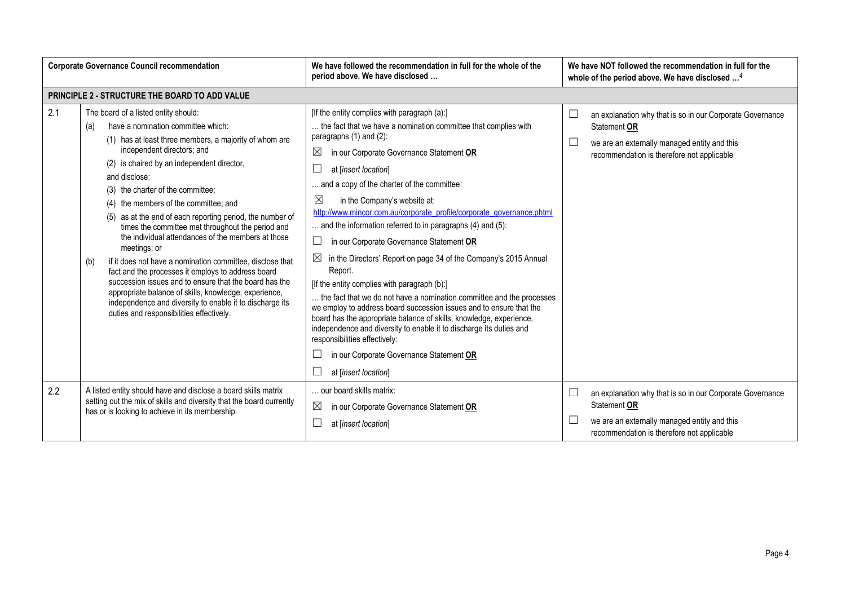| <b>Corporate Governance Council recommendation</b> |                                                                                                                                                                                                                                                                                                                                                                                                                                                                                                                                                                                                                                                                                                                                                                                                                                                                     | We have followed the recommendation in full for the whole of the<br>period above. We have disclosed                                                                                                                                                                                                                                                                                                                                                                                                                                                                                                                                                                                                                                                                                                                                                                                                                                                                                                                                                   | We have NOT followed the recommendation in full for the<br>whole of the period above. We have disclosed <sup>4</sup>                                                                        |
|----------------------------------------------------|---------------------------------------------------------------------------------------------------------------------------------------------------------------------------------------------------------------------------------------------------------------------------------------------------------------------------------------------------------------------------------------------------------------------------------------------------------------------------------------------------------------------------------------------------------------------------------------------------------------------------------------------------------------------------------------------------------------------------------------------------------------------------------------------------------------------------------------------------------------------|-------------------------------------------------------------------------------------------------------------------------------------------------------------------------------------------------------------------------------------------------------------------------------------------------------------------------------------------------------------------------------------------------------------------------------------------------------------------------------------------------------------------------------------------------------------------------------------------------------------------------------------------------------------------------------------------------------------------------------------------------------------------------------------------------------------------------------------------------------------------------------------------------------------------------------------------------------------------------------------------------------------------------------------------------------|---------------------------------------------------------------------------------------------------------------------------------------------------------------------------------------------|
|                                                    | PRINCIPLE 2 - STRUCTURE THE BOARD TO ADD VALUE                                                                                                                                                                                                                                                                                                                                                                                                                                                                                                                                                                                                                                                                                                                                                                                                                      |                                                                                                                                                                                                                                                                                                                                                                                                                                                                                                                                                                                                                                                                                                                                                                                                                                                                                                                                                                                                                                                       |                                                                                                                                                                                             |
| 2.1                                                | The board of a listed entity should:<br>have a nomination committee which:<br>(a)<br>(1) has at least three members, a majority of whom are<br>independent directors; and<br>(2) is chaired by an independent director,<br>and disclose:<br>(3) the charter of the committee;<br>(4) the members of the committee; and<br>(5) as at the end of each reporting period, the number of<br>times the committee met throughout the period and<br>the individual attendances of the members at those<br>meetings; or<br>if it does not have a nomination committee, disclose that<br>(b)<br>fact and the processes it employs to address board<br>succession issues and to ensure that the board has the<br>appropriate balance of skills, knowledge, experience,<br>independence and diversity to enable it to discharge its<br>duties and responsibilities effectively. | [If the entity complies with paragraph (a):]<br>the fact that we have a nomination committee that complies with<br>paragraphs (1) and (2):<br>$\boxtimes$<br>in our Corporate Governance Statement OR<br>at [insert location]<br>and a copy of the charter of the committee:<br>⊠<br>in the Company's website at:<br>http://www.mincor.com.au/corporate_profile/corporate_governance.phtml<br>and the information referred to in paragraphs (4) and (5):<br>in our Corporate Governance Statement OR<br>in the Directors' Report on page 34 of the Company's 2015 Annual<br>$\boxtimes$<br>Report.<br>[If the entity complies with paragraph (b):]<br>the fact that we do not have a nomination committee and the processes<br>we employ to address board succession issues and to ensure that the<br>board has the appropriate balance of skills, knowledge, experience,<br>independence and diversity to enable it to discharge its duties and<br>responsibilities effectively:<br>in our Corporate Governance Statement OR<br>at [insert location] | $\Box$<br>an explanation why that is so in our Corporate Governance<br>Statement OR<br>$\Box$<br>we are an externally managed entity and this<br>recommendation is therefore not applicable |
| 2.2                                                | A listed entity should have and disclose a board skills matrix<br>setting out the mix of skills and diversity that the board currently<br>has or is looking to achieve in its membership.                                                                                                                                                                                                                                                                                                                                                                                                                                                                                                                                                                                                                                                                           | our board skills matrix:<br>$\boxtimes$<br>in our Corporate Governance Statement OR<br>at [insert location]                                                                                                                                                                                                                                                                                                                                                                                                                                                                                                                                                                                                                                                                                                                                                                                                                                                                                                                                           | $\Box$<br>an explanation why that is so in our Corporate Governance<br>Statement OR<br>$\Box$<br>we are an externally managed entity and this<br>recommendation is therefore not applicable |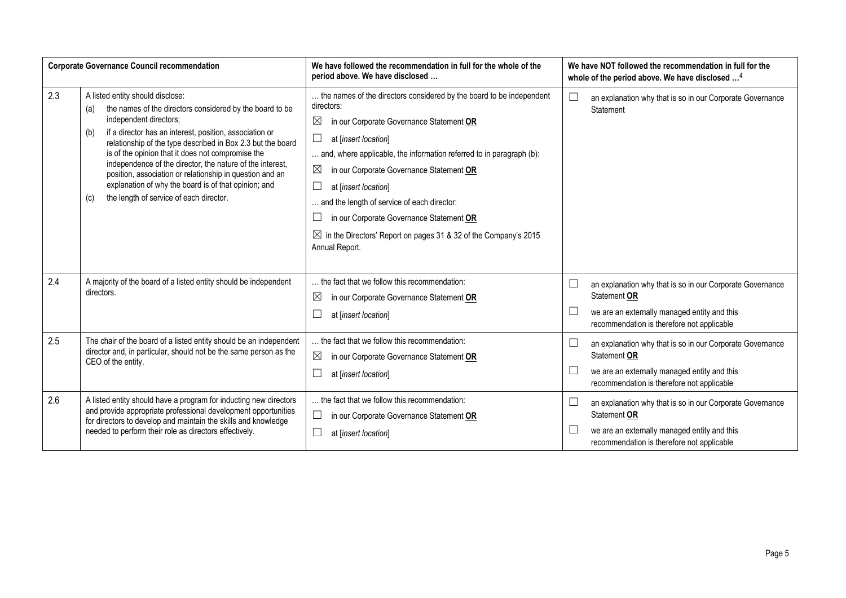|     | <b>Corporate Governance Council recommendation</b>                                                                                                                                                                                                                                                                                                                                                                                                                                                                                                     | We have followed the recommendation in full for the whole of the<br>period above. We have disclosed                                                                                                                                                                                                                                                                                                                                                                                                                          | We have NOT followed the recommendation in full for the<br>whole of the period above. We have disclosed <sup>4</sup> |                                                                                                                                                                         |
|-----|--------------------------------------------------------------------------------------------------------------------------------------------------------------------------------------------------------------------------------------------------------------------------------------------------------------------------------------------------------------------------------------------------------------------------------------------------------------------------------------------------------------------------------------------------------|------------------------------------------------------------------------------------------------------------------------------------------------------------------------------------------------------------------------------------------------------------------------------------------------------------------------------------------------------------------------------------------------------------------------------------------------------------------------------------------------------------------------------|----------------------------------------------------------------------------------------------------------------------|-------------------------------------------------------------------------------------------------------------------------------------------------------------------------|
| 2.3 | A listed entity should disclose:<br>the names of the directors considered by the board to be<br>(a)<br>independent directors;<br>if a director has an interest, position, association or<br>(b)<br>relationship of the type described in Box 2.3 but the board<br>is of the opinion that it does not compromise the<br>independence of the director, the nature of the interest,<br>position, association or relationship in question and an<br>explanation of why the board is of that opinion; and<br>the length of service of each director.<br>(c) | the names of the directors considered by the board to be independent<br>directors:<br>$\boxtimes$<br>in our Corporate Governance Statement OR<br>at [insert location]<br>⊔<br>and, where applicable, the information referred to in paragraph (b):<br>⊠<br>in our Corporate Governance Statement OR<br>at [insert location]<br>ப<br>and the length of service of each director:<br>in our Corporate Governance Statement OR<br>$\boxtimes$ in the Directors' Report on pages 31 & 32 of the Company's 2015<br>Annual Report. | $\Box$                                                                                                               | an explanation why that is so in our Corporate Governance<br>Statement                                                                                                  |
| 2.4 | A majority of the board of a listed entity should be independent<br>directors.                                                                                                                                                                                                                                                                                                                                                                                                                                                                         | the fact that we follow this recommendation:<br>$\boxtimes$<br>in our Corporate Governance Statement OR<br>at [insert location]                                                                                                                                                                                                                                                                                                                                                                                              | $\Box$<br>$\Box$                                                                                                     | an explanation why that is so in our Corporate Governance<br>Statement OR<br>we are an externally managed entity and this<br>recommendation is therefore not applicable |
| 2.5 | The chair of the board of a listed entity should be an independent<br>director and, in particular, should not be the same person as the<br>CEO of the entity.                                                                                                                                                                                                                                                                                                                                                                                          | the fact that we follow this recommendation:<br>⊠<br>in our Corporate Governance Statement OR<br>at [insert location]                                                                                                                                                                                                                                                                                                                                                                                                        | $\Box$<br>$\Box$                                                                                                     | an explanation why that is so in our Corporate Governance<br>Statement OR<br>we are an externally managed entity and this<br>recommendation is therefore not applicable |
| 2.6 | A listed entity should have a program for inducting new directors<br>and provide appropriate professional development opportunities<br>for directors to develop and maintain the skills and knowledge<br>needed to perform their role as directors effectively.                                                                                                                                                                                                                                                                                        | the fact that we follow this recommendation:<br>$\vert \ \ \vert$<br>in our Corporate Governance Statement OR<br>at [insert location]                                                                                                                                                                                                                                                                                                                                                                                        | $\Box$<br>$\Box$                                                                                                     | an explanation why that is so in our Corporate Governance<br>Statement OR<br>we are an externally managed entity and this<br>recommendation is therefore not applicable |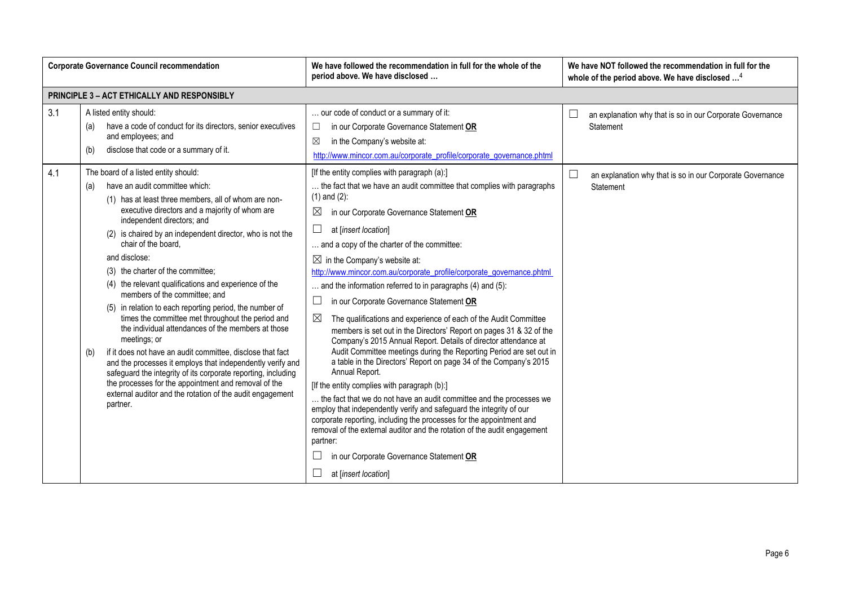|            | <b>Corporate Governance Council recommendation</b>                                                                                                                                                                                                                                                                                                                                                                                                                                                                                                                                                                                                                                                                                                                                                                      | We have followed the recommendation in full for the whole of the<br>period above. We have disclosed                                                                                                                                                                                                                                                                                                                                                                                                                                                                                                                                                                                                                                                                                                                                                                                                       | We have NOT followed the recommendation in full for the<br>whole of the period above. We have disclosed <sup>4</sup>                             |
|------------|-------------------------------------------------------------------------------------------------------------------------------------------------------------------------------------------------------------------------------------------------------------------------------------------------------------------------------------------------------------------------------------------------------------------------------------------------------------------------------------------------------------------------------------------------------------------------------------------------------------------------------------------------------------------------------------------------------------------------------------------------------------------------------------------------------------------------|-----------------------------------------------------------------------------------------------------------------------------------------------------------------------------------------------------------------------------------------------------------------------------------------------------------------------------------------------------------------------------------------------------------------------------------------------------------------------------------------------------------------------------------------------------------------------------------------------------------------------------------------------------------------------------------------------------------------------------------------------------------------------------------------------------------------------------------------------------------------------------------------------------------|--------------------------------------------------------------------------------------------------------------------------------------------------|
|            | <b>PRINCIPLE 3 - ACT ETHICALLY AND RESPONSIBLY</b>                                                                                                                                                                                                                                                                                                                                                                                                                                                                                                                                                                                                                                                                                                                                                                      |                                                                                                                                                                                                                                                                                                                                                                                                                                                                                                                                                                                                                                                                                                                                                                                                                                                                                                           |                                                                                                                                                  |
| 3.1<br>4.1 | A listed entity should:<br>have a code of conduct for its directors, senior executives<br>(a)<br>and employees; and<br>disclose that code or a summary of it.<br>(b)<br>The board of a listed entity should:<br>have an audit committee which:<br>(a)<br>(1) has at least three members, all of whom are non-<br>executive directors and a majority of whom are<br>independent directors; and<br>(2) is chaired by an independent director, who is not the<br>chair of the board.<br>and disclose:<br>(3) the charter of the committee;<br>(4) the relevant qualifications and experience of the<br>members of the committee; and<br>(5) in relation to each reporting period, the number of<br>times the committee met throughout the period and<br>the individual attendances of the members at those<br>meetings; or | our code of conduct or a summary of it:<br>in our Corporate Governance Statement OR<br>$\Box$<br>in the Company's website at:<br>$\boxtimes$<br>http://www.mincor.com.au/corporate_profile/corporate_governance.phtml<br>[If the entity complies with paragraph (a):]<br>the fact that we have an audit committee that complies with paragraphs<br>$(1)$ and $(2)$ :<br>in our Corporate Governance Statement OR<br>$\boxtimes$<br>at [insert location]<br>ப<br>and a copy of the charter of the committee:<br>$\boxtimes$ in the Company's website at:<br>http://www.mincor.com.au/corporate_profile/corporate_governance.phtml<br>and the information referred to in paragraphs (4) and (5):<br>⊔<br>in our Corporate Governance Statement OR<br>$\boxtimes$<br>The qualifications and experience of each of the Audit Committee<br>members is set out in the Directors' Report on pages 31 & 32 of the | an explanation why that is so in our Corporate Governance<br>Statement<br>an explanation why that is so in our Corporate Governance<br>Statement |
|            | if it does not have an audit committee, disclose that fact<br>(b)<br>and the processes it employs that independently verify and<br>safeguard the integrity of its corporate reporting, including<br>the processes for the appointment and removal of the<br>external auditor and the rotation of the audit engagement<br>partner.                                                                                                                                                                                                                                                                                                                                                                                                                                                                                       | Company's 2015 Annual Report. Details of director attendance at<br>Audit Committee meetings during the Reporting Period are set out in<br>a table in the Directors' Report on page 34 of the Company's 2015<br>Annual Report.<br>[If the entity complies with paragraph (b):]<br>the fact that we do not have an audit committee and the processes we<br>employ that independently verify and safeguard the integrity of our<br>corporate reporting, including the processes for the appointment and<br>removal of the external auditor and the rotation of the audit engagement<br>partner:<br>in our Corporate Governance Statement OR<br>at [insert location]                                                                                                                                                                                                                                          |                                                                                                                                                  |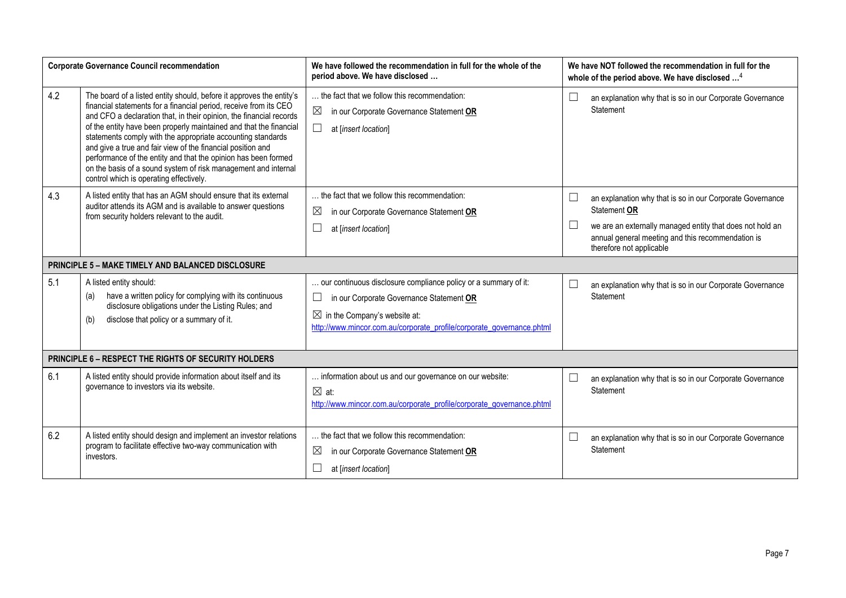|     | <b>Corporate Governance Council recommendation</b>                                                                                                                                                                                                                                                                                                                                                                                                                                                                                                                                                  | We have followed the recommendation in full for the whole of the<br>period above. We have disclosed                                                                                                                                        |        | We have NOT followed the recommendation in full for the<br>whole of the period above. We have disclosed <sup>4</sup>                                                                                                    |
|-----|-----------------------------------------------------------------------------------------------------------------------------------------------------------------------------------------------------------------------------------------------------------------------------------------------------------------------------------------------------------------------------------------------------------------------------------------------------------------------------------------------------------------------------------------------------------------------------------------------------|--------------------------------------------------------------------------------------------------------------------------------------------------------------------------------------------------------------------------------------------|--------|-------------------------------------------------------------------------------------------------------------------------------------------------------------------------------------------------------------------------|
| 4.2 | The board of a listed entity should, before it approves the entity's<br>financial statements for a financial period, receive from its CEO<br>and CFO a declaration that, in their opinion, the financial records<br>of the entity have been properly maintained and that the financial<br>statements comply with the appropriate accounting standards<br>and give a true and fair view of the financial position and<br>performance of the entity and that the opinion has been formed<br>on the basis of a sound system of risk management and internal<br>control which is operating effectively. | the fact that we follow this recommendation:<br>$\boxtimes$<br>in our Corporate Governance Statement OR<br>$\Box$<br>at [insert location]                                                                                                  | $\Box$ | an explanation why that is so in our Corporate Governance<br>Statement                                                                                                                                                  |
| 4.3 | A listed entity that has an AGM should ensure that its external<br>auditor attends its AGM and is available to answer questions<br>from security holders relevant to the audit.                                                                                                                                                                                                                                                                                                                                                                                                                     | the fact that we follow this recommendation:<br>$\boxtimes$<br>in our Corporate Governance Statement OR<br>$\Box$<br>at [insert location]                                                                                                  | $\Box$ | an explanation why that is so in our Corporate Governance<br>Statement OR<br>we are an externally managed entity that does not hold an<br>annual general meeting and this recommendation is<br>therefore not applicable |
|     | <b>PRINCIPLE 5 - MAKE TIMELY AND BALANCED DISCLOSURE</b>                                                                                                                                                                                                                                                                                                                                                                                                                                                                                                                                            |                                                                                                                                                                                                                                            |        |                                                                                                                                                                                                                         |
| 5.1 | A listed entity should:<br>have a written policy for complying with its continuous<br>(a)<br>disclosure obligations under the Listing Rules; and<br>disclose that policy or a summary of it.<br>(b)                                                                                                                                                                                                                                                                                                                                                                                                 | our continuous disclosure compliance policy or a summary of it:<br>$\Box$<br>in our Corporate Governance Statement OR<br>$\boxtimes$ in the Company's website at:<br>http://www.mincor.com.au/corporate_profile/corporate_governance.phtml |        | an explanation why that is so in our Corporate Governance<br>Statement                                                                                                                                                  |
|     | <b>PRINCIPLE 6 - RESPECT THE RIGHTS OF SECURITY HOLDERS</b>                                                                                                                                                                                                                                                                                                                                                                                                                                                                                                                                         |                                                                                                                                                                                                                                            |        |                                                                                                                                                                                                                         |
| 6.1 | A listed entity should provide information about itself and its<br>governance to investors via its website.                                                                                                                                                                                                                                                                                                                                                                                                                                                                                         | information about us and our governance on our website:<br>$\boxtimes$ at:<br>http://www.mincor.com.au/corporate_profile/corporate_governance.phtml                                                                                        |        | an explanation why that is so in our Corporate Governance<br>Statement                                                                                                                                                  |
| 6.2 | A listed entity should design and implement an investor relations<br>program to facilitate effective two-way communication with<br>investors.                                                                                                                                                                                                                                                                                                                                                                                                                                                       | the fact that we follow this recommendation:<br>$\boxtimes$<br>in our Corporate Governance Statement OR<br>at [insert location]                                                                                                            |        | an explanation why that is so in our Corporate Governance<br>Statement                                                                                                                                                  |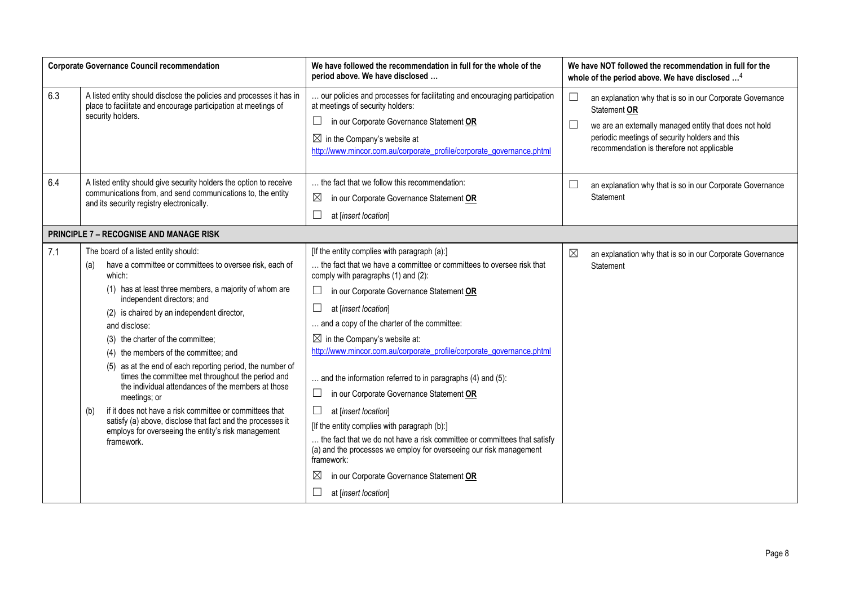|     | <b>Corporate Governance Council recommendation</b>                                                                                                                                                                                                                                                                                                                                                                                                                                                                                                                                                                                                                                                                                                 | We have followed the recommendation in full for the whole of the<br>period above. We have disclosed                                                                                                                                                                                                                                                                                                                                                                                                                                                                                                                                                                                                                                                                                                                                                                         | We have NOT followed the recommendation in full for the<br>whole of the period above. We have disclosed <sup>4</sup>                                                                                                                                                   |
|-----|----------------------------------------------------------------------------------------------------------------------------------------------------------------------------------------------------------------------------------------------------------------------------------------------------------------------------------------------------------------------------------------------------------------------------------------------------------------------------------------------------------------------------------------------------------------------------------------------------------------------------------------------------------------------------------------------------------------------------------------------------|-----------------------------------------------------------------------------------------------------------------------------------------------------------------------------------------------------------------------------------------------------------------------------------------------------------------------------------------------------------------------------------------------------------------------------------------------------------------------------------------------------------------------------------------------------------------------------------------------------------------------------------------------------------------------------------------------------------------------------------------------------------------------------------------------------------------------------------------------------------------------------|------------------------------------------------------------------------------------------------------------------------------------------------------------------------------------------------------------------------------------------------------------------------|
| 6.3 | A listed entity should disclose the policies and processes it has in<br>place to facilitate and encourage participation at meetings of<br>security holders.                                                                                                                                                                                                                                                                                                                                                                                                                                                                                                                                                                                        | our policies and processes for facilitating and encouraging participation<br>at meetings of security holders:<br>in our Corporate Governance Statement OR<br>ш<br>$\boxtimes$ in the Company's website at<br>http://www.mincor.com.au/corporate_profile/corporate_governance.phtml                                                                                                                                                                                                                                                                                                                                                                                                                                                                                                                                                                                          | $\Box$<br>an explanation why that is so in our Corporate Governance<br>Statement OR<br>$\boxed{\phantom{1}}$<br>we are an externally managed entity that does not hold<br>periodic meetings of security holders and this<br>recommendation is therefore not applicable |
| 6.4 | A listed entity should give security holders the option to receive<br>communications from, and send communications to, the entity<br>and its security registry electronically.                                                                                                                                                                                                                                                                                                                                                                                                                                                                                                                                                                     | the fact that we follow this recommendation:<br>$\boxtimes$<br>in our Corporate Governance Statement OR<br>$\Box$<br>at [insert location]                                                                                                                                                                                                                                                                                                                                                                                                                                                                                                                                                                                                                                                                                                                                   | $\Box$<br>an explanation why that is so in our Corporate Governance<br>Statement                                                                                                                                                                                       |
|     | <b>PRINCIPLE 7 - RECOGNISE AND MANAGE RISK</b>                                                                                                                                                                                                                                                                                                                                                                                                                                                                                                                                                                                                                                                                                                     |                                                                                                                                                                                                                                                                                                                                                                                                                                                                                                                                                                                                                                                                                                                                                                                                                                                                             |                                                                                                                                                                                                                                                                        |
| 7.1 | The board of a listed entity should:<br>have a committee or committees to oversee risk, each of<br>(a)<br>which:<br>(1) has at least three members, a majority of whom are<br>independent directors; and<br>(2) is chaired by an independent director,<br>and disclose:<br>(3) the charter of the committee;<br>(4) the members of the committee; and<br>(5) as at the end of each reporting period, the number of<br>times the committee met throughout the period and<br>the individual attendances of the members at those<br>meetings; or<br>if it does not have a risk committee or committees that<br>(b)<br>satisfy (a) above, disclose that fact and the processes it<br>employs for overseeing the entity's risk management<br>framework. | [If the entity complies with paragraph (a):]<br>the fact that we have a committee or committees to oversee risk that<br>comply with paragraphs (1) and (2):<br>$\Box$<br>in our Corporate Governance Statement OR<br>at [insert location]<br>ப<br>and a copy of the charter of the committee:<br>$\boxtimes$ in the Company's website at:<br>http://www.mincor.com.au/corporate_profile/corporate_governance.phtml<br>and the information referred to in paragraphs (4) and (5):<br>$\Box$<br>in our Corporate Governance Statement OR<br>$\Box$<br>at [insert location]<br>[If the entity complies with paragraph (b):]<br>the fact that we do not have a risk committee or committees that satisfy<br>(a) and the processes we employ for overseeing our risk management<br>framework:<br>in our Corporate Governance Statement OR<br>$\boxtimes$<br>at [insert location] | $\boxtimes$<br>an explanation why that is so in our Corporate Governance<br>Statement                                                                                                                                                                                  |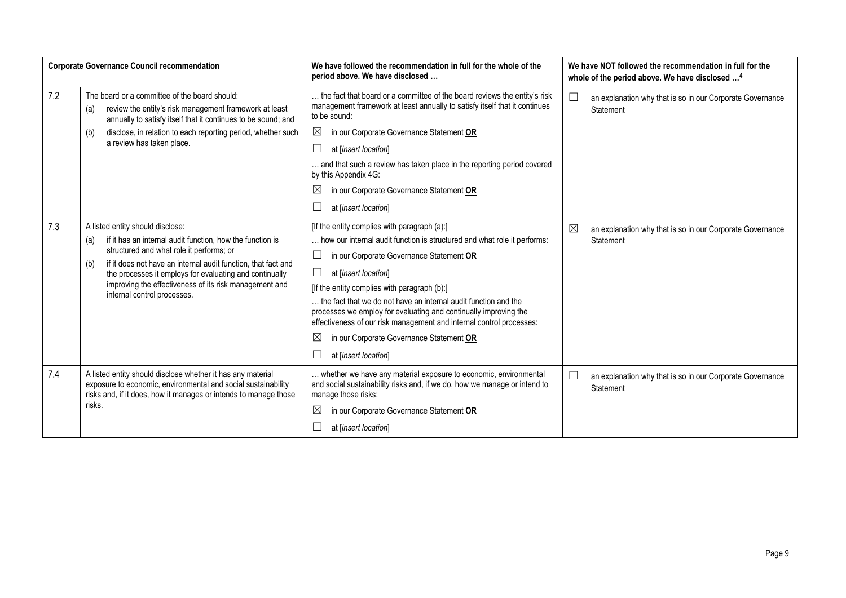|     | <b>Corporate Governance Council recommendation</b>                                                                                                                                                                                                                                                                                                                           | We have followed the recommendation in full for the whole of the<br>period above. We have disclosed                                                                                                                                                                                                                                                                                                                                                                                                                                                                | We have NOT followed the recommendation in full for the<br>whole of the period above. We have disclosed <sup>4</sup> |
|-----|------------------------------------------------------------------------------------------------------------------------------------------------------------------------------------------------------------------------------------------------------------------------------------------------------------------------------------------------------------------------------|--------------------------------------------------------------------------------------------------------------------------------------------------------------------------------------------------------------------------------------------------------------------------------------------------------------------------------------------------------------------------------------------------------------------------------------------------------------------------------------------------------------------------------------------------------------------|----------------------------------------------------------------------------------------------------------------------|
| 7.2 | The board or a committee of the board should:<br>review the entity's risk management framework at least<br>(a)<br>annually to satisfy itself that it continues to be sound; and                                                                                                                                                                                              | the fact that board or a committee of the board reviews the entity's risk<br>management framework at least annually to satisfy itself that it continues<br>to be sound:                                                                                                                                                                                                                                                                                                                                                                                            | $\Box$<br>an explanation why that is so in our Corporate Governance<br>Statement                                     |
|     | disclose, in relation to each reporting period, whether such<br>(b)                                                                                                                                                                                                                                                                                                          | in our Corporate Governance Statement OR<br>$\boxtimes$                                                                                                                                                                                                                                                                                                                                                                                                                                                                                                            |                                                                                                                      |
|     | a review has taken place.                                                                                                                                                                                                                                                                                                                                                    | Ш<br>at [insert location]                                                                                                                                                                                                                                                                                                                                                                                                                                                                                                                                          |                                                                                                                      |
|     |                                                                                                                                                                                                                                                                                                                                                                              | and that such a review has taken place in the reporting period covered<br>by this Appendix 4G:                                                                                                                                                                                                                                                                                                                                                                                                                                                                     |                                                                                                                      |
|     |                                                                                                                                                                                                                                                                                                                                                                              | $\boxtimes$<br>in our Corporate Governance Statement OR                                                                                                                                                                                                                                                                                                                                                                                                                                                                                                            |                                                                                                                      |
|     |                                                                                                                                                                                                                                                                                                                                                                              | at [insert location]                                                                                                                                                                                                                                                                                                                                                                                                                                                                                                                                               |                                                                                                                      |
| 7.3 | A listed entity should disclose:<br>if it has an internal audit function, how the function is<br>(a)<br>structured and what role it performs; or<br>if it does not have an internal audit function, that fact and<br>(b)<br>the processes it employs for evaluating and continually<br>improving the effectiveness of its risk management and<br>internal control processes. | [If the entity complies with paragraph (a):]<br>how our internal audit function is structured and what role it performs:<br>in our Corporate Governance Statement OR<br>⊔<br>$\Box$<br>at [insert location]<br>[If the entity complies with paragraph (b):]<br>the fact that we do not have an internal audit function and the<br>processes we employ for evaluating and continually improving the<br>effectiveness of our risk management and internal control processes:<br>$\boxtimes$<br>in our Corporate Governance Statement OR<br>at [insert location]<br>ப | $\boxtimes$<br>an explanation why that is so in our Corporate Governance<br>Statement                                |
| 7.4 | A listed entity should disclose whether it has any material<br>exposure to economic, environmental and social sustainability<br>risks and, if it does, how it manages or intends to manage those<br>risks.                                                                                                                                                                   | whether we have any material exposure to economic, environmental<br>and social sustainability risks and, if we do, how we manage or intend to<br>manage those risks:<br>$\boxtimes$<br>in our Corporate Governance Statement OR<br>at [insert location]                                                                                                                                                                                                                                                                                                            | $\Box$<br>an explanation why that is so in our Corporate Governance<br>Statement                                     |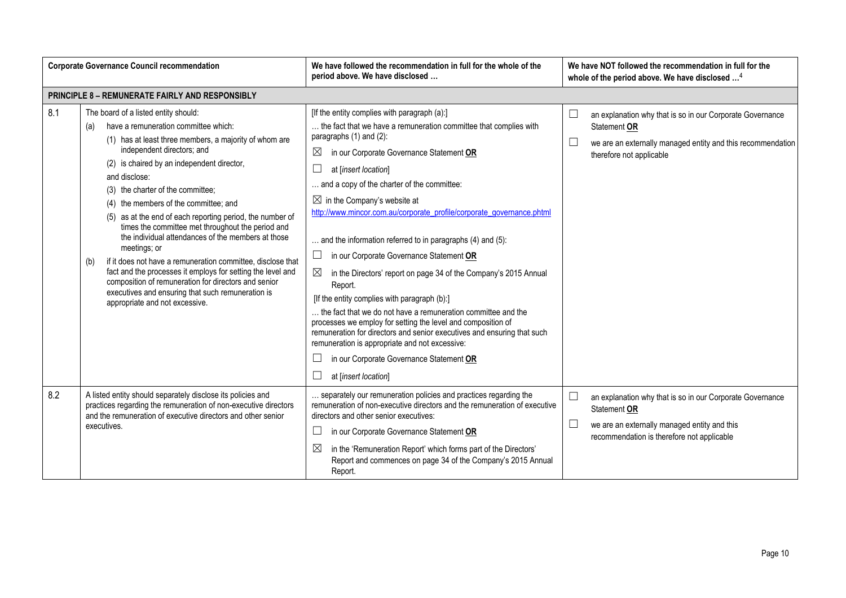|     | <b>Corporate Governance Council recommendation</b>                                                                                                                                                                                                                                                                                                                                                                                                                                                                                                                                                                                                                                                                                                                                                   | We have followed the recommendation in full for the whole of the<br>period above. We have disclosed                                                                                                                                                                                                                                                                                                                                                                                                                                                                                                                                                                                                                                                                                                                                                                                                                                                                                                        | We have NOT followed the recommendation in full for the<br>whole of the period above. We have disclosed <sup>4</sup>                                                                        |
|-----|------------------------------------------------------------------------------------------------------------------------------------------------------------------------------------------------------------------------------------------------------------------------------------------------------------------------------------------------------------------------------------------------------------------------------------------------------------------------------------------------------------------------------------------------------------------------------------------------------------------------------------------------------------------------------------------------------------------------------------------------------------------------------------------------------|------------------------------------------------------------------------------------------------------------------------------------------------------------------------------------------------------------------------------------------------------------------------------------------------------------------------------------------------------------------------------------------------------------------------------------------------------------------------------------------------------------------------------------------------------------------------------------------------------------------------------------------------------------------------------------------------------------------------------------------------------------------------------------------------------------------------------------------------------------------------------------------------------------------------------------------------------------------------------------------------------------|---------------------------------------------------------------------------------------------------------------------------------------------------------------------------------------------|
|     | <b>PRINCIPLE 8 - REMUNERATE FAIRLY AND RESPONSIBLY</b>                                                                                                                                                                                                                                                                                                                                                                                                                                                                                                                                                                                                                                                                                                                                               |                                                                                                                                                                                                                                                                                                                                                                                                                                                                                                                                                                                                                                                                                                                                                                                                                                                                                                                                                                                                            |                                                                                                                                                                                             |
| 8.1 | The board of a listed entity should:<br>have a remuneration committee which:<br>(a)<br>(1) has at least three members, a majority of whom are<br>independent directors; and<br>(2) is chaired by an independent director,<br>and disclose:<br>(3) the charter of the committee;<br>(4) the members of the committee; and<br>(5) as at the end of each reporting period, the number of<br>times the committee met throughout the period and<br>the individual attendances of the members at those<br>meetings; or<br>if it does not have a remuneration committee, disclose that<br>(b)<br>fact and the processes it employs for setting the level and<br>composition of remuneration for directors and senior<br>executives and ensuring that such remuneration is<br>appropriate and not excessive. | [If the entity complies with paragraph (a):]<br>the fact that we have a remuneration committee that complies with<br>paragraphs (1) and (2):<br>$\boxtimes$<br>in our Corporate Governance Statement OR<br>⊔<br>at [insert location]<br>and a copy of the charter of the committee:<br>$\boxtimes$ in the Company's website at<br>http://www.mincor.com.au/corporate_profile/corporate_governance.phtml<br>$\ldots$ and the information referred to in paragraphs (4) and (5):<br>$\Box$<br>in our Corporate Governance Statement OR<br>⊠<br>in the Directors' report on page 34 of the Company's 2015 Annual<br>Report.<br>[If the entity complies with paragraph (b):]<br>the fact that we do not have a remuneration committee and the<br>processes we employ for setting the level and composition of<br>remuneration for directors and senior executives and ensuring that such<br>remuneration is appropriate and not excessive:<br>in our Corporate Governance Statement OR<br>at [insert location] | ⊔<br>an explanation why that is so in our Corporate Governance<br>Statement OR<br>$\Box$<br>we are an externally managed entity and this recommendation<br>therefore not applicable         |
| 8.2 | A listed entity should separately disclose its policies and<br>practices regarding the remuneration of non-executive directors<br>and the remuneration of executive directors and other senior<br>executives.                                                                                                                                                                                                                                                                                                                                                                                                                                                                                                                                                                                        | . separately our remuneration policies and practices regarding the<br>remuneration of non-executive directors and the remuneration of executive<br>directors and other senior executives:<br>$\Box$<br>in our Corporate Governance Statement OR<br>$\bowtie$<br>in the 'Remuneration Report' which forms part of the Directors'<br>Report and commences on page 34 of the Company's 2015 Annual<br>Report.                                                                                                                                                                                                                                                                                                                                                                                                                                                                                                                                                                                                 | $\Box$<br>an explanation why that is so in our Corporate Governance<br>Statement OR<br>$\Box$<br>we are an externally managed entity and this<br>recommendation is therefore not applicable |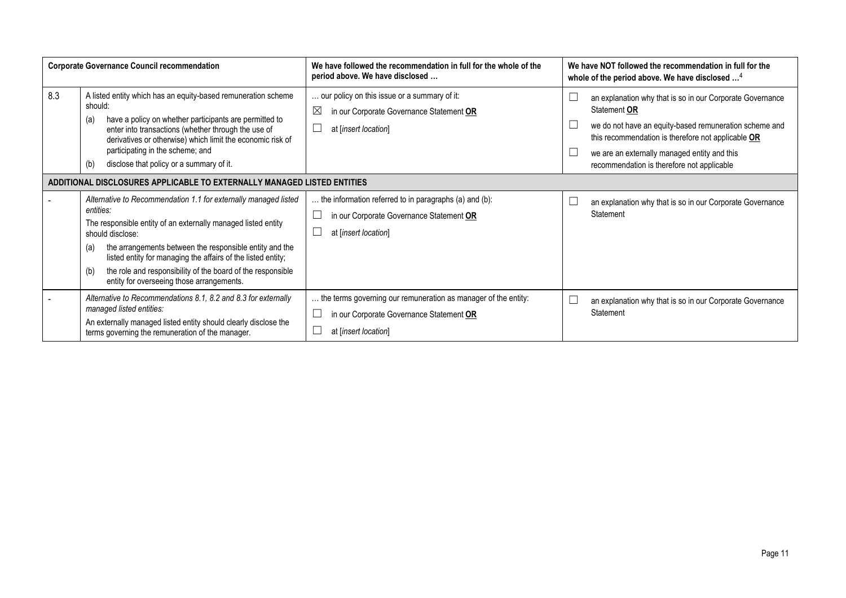|     | <b>Corporate Governance Council recommendation</b>                                                                                                                                                                                                                                                                                                                                                                     | We have followed the recommendation in full for the whole of the<br>period above. We have disclosed                                | We have NOT followed the recommendation in full for the<br>whole of the period above. We have disclosed <sup>4</sup>                                                                                                                                                                    |
|-----|------------------------------------------------------------------------------------------------------------------------------------------------------------------------------------------------------------------------------------------------------------------------------------------------------------------------------------------------------------------------------------------------------------------------|------------------------------------------------------------------------------------------------------------------------------------|-----------------------------------------------------------------------------------------------------------------------------------------------------------------------------------------------------------------------------------------------------------------------------------------|
| 8.3 | A listed entity which has an equity-based remuneration scheme<br>should:<br>have a policy on whether participants are permitted to<br>(a)<br>enter into transactions (whether through the use of<br>derivatives or otherwise) which limit the economic risk of<br>participating in the scheme; and<br>disclose that policy or a summary of it.<br>(b)                                                                  | our policy on this issue or a summary of it:<br>$\boxtimes$<br>in our Corporate Governance Statement OR<br>at [insert location]    | an explanation why that is so in our Corporate Governance<br>Statement OR<br>we do not have an equity-based remuneration scheme and<br>this recommendation is therefore not applicable OR<br>we are an externally managed entity and this<br>recommendation is therefore not applicable |
|     | ADDITIONAL DISCLOSURES APPLICABLE TO EXTERNALLY MANAGED LISTED ENTITIES                                                                                                                                                                                                                                                                                                                                                |                                                                                                                                    |                                                                                                                                                                                                                                                                                         |
|     | Alternative to Recommendation 1.1 for externally managed listed<br>entities:<br>The responsible entity of an externally managed listed entity<br>should disclose:<br>the arrangements between the responsible entity and the<br>(a)<br>listed entity for managing the affairs of the listed entity;<br>the role and responsibility of the board of the responsible<br>(b)<br>entity for overseeing those arrangements. | the information referred to in paragraphs (a) and (b):<br>in our Corporate Governance Statement OR<br>at [insert location]         | an explanation why that is so in our Corporate Governance<br>Statement                                                                                                                                                                                                                  |
|     | Alternative to Recommendations 8.1, 8.2 and 8.3 for externally<br>managed listed entities:<br>An externally managed listed entity should clearly disclose the<br>terms governing the remuneration of the manager.                                                                                                                                                                                                      | the terms governing our remuneration as manager of the entity:<br>in our Corporate Governance Statement OR<br>at [insert location] | an explanation why that is so in our Corporate Governance<br>Statement                                                                                                                                                                                                                  |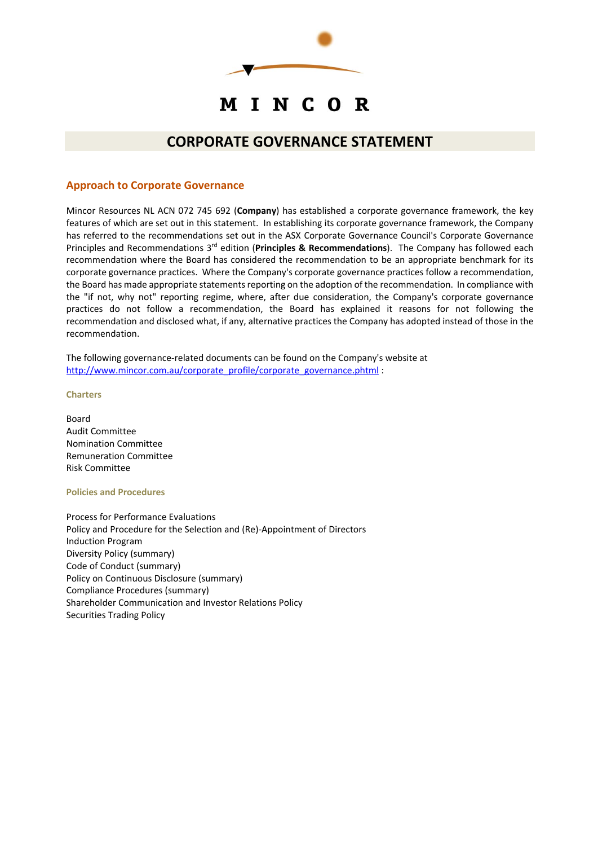

# MINCOR

# **CORPORATE GOVERNANCE STATEMENT**

### **Approach to Corporate Governance**

Mincor Resources NL ACN 072 745 692 (**Company**) has established a corporate governance framework, the key features of which are set out in this statement. In establishing its corporate governance framework, the Company has referred to the recommendations set out in the ASX Corporate Governance Council's Corporate Governance Principles and Recommendations 3rd edition (**Principles & Recommendations**). The Company has followed each recommendation where the Board has considered the recommendation to be an appropriate benchmark for its corporate governance practices. Where the Company's corporate governance practices follow a recommendation, the Board has made appropriate statements reporting on the adoption of the recommendation. In compliance with the "if not, why not" reporting regime, where, after due consideration, the Company's corporate governance practices do not follow a recommendation, the Board has explained it reasons for not following the recommendation and disclosed what, if any, alternative practices the Company has adopted instead of those in the recommendation.

The following governance-related documents can be found on the Company's website at http://www.mincor.com.au/corporate\_profile/corporate\_governance.phtml :

#### **Charters**

Board Audit Committee Nomination Committee Remuneration Committee Risk Committee

#### **Policies and Procedures**

Process for Performance Evaluations Policy and Procedure for the Selection and (Re)‐Appointment of Directors Induction Program Diversity Policy (summary) Code of Conduct (summary) Policy on Continuous Disclosure (summary) Compliance Procedures (summary) Shareholder Communication and Investor Relations Policy Securities Trading Policy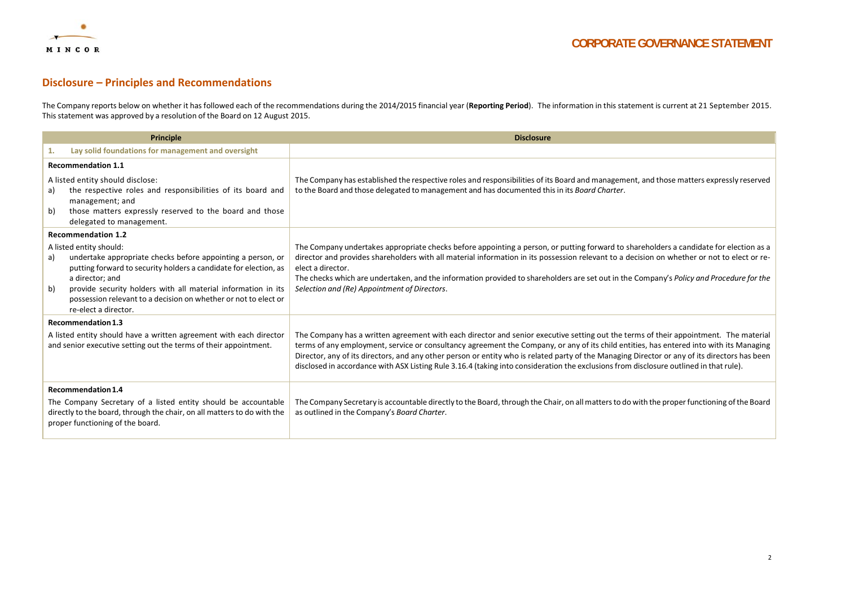

#### **Disclosure – Principles and Recommendations**

The Company reports below on whether it has followed each of the recommendations during the 2014/2015 financial year (**Reporting Period**). The information in this statement is current at 21 September 2015. This statement was approved by a resolution of the Board on 12 August 2015.

| Principle                                                                                                                                                                                                  |                                                                                                                                                                                                                                                                                                                                           | <b>Disclosure</b>                                                                                                                                                                                                                                                                                                                                                                                                                                                                                                                                                          |
|------------------------------------------------------------------------------------------------------------------------------------------------------------------------------------------------------------|-------------------------------------------------------------------------------------------------------------------------------------------------------------------------------------------------------------------------------------------------------------------------------------------------------------------------------------------|----------------------------------------------------------------------------------------------------------------------------------------------------------------------------------------------------------------------------------------------------------------------------------------------------------------------------------------------------------------------------------------------------------------------------------------------------------------------------------------------------------------------------------------------------------------------------|
|                                                                                                                                                                                                            | Lay solid foundations for management and oversight                                                                                                                                                                                                                                                                                        |                                                                                                                                                                                                                                                                                                                                                                                                                                                                                                                                                                            |
|                                                                                                                                                                                                            | <b>Recommendation 1.1</b>                                                                                                                                                                                                                                                                                                                 |                                                                                                                                                                                                                                                                                                                                                                                                                                                                                                                                                                            |
| a)<br>b)                                                                                                                                                                                                   | A listed entity should disclose:<br>the respective roles and responsibilities of its board and<br>management; and<br>those matters expressly reserved to the board and those<br>delegated to management.                                                                                                                                  | The Company has established the respective roles and responsibilities of its Board and management, and those matters expressly reserved<br>to the Board and those delegated to management and has documented this in its Board Charter.                                                                                                                                                                                                                                                                                                                                    |
|                                                                                                                                                                                                            | <b>Recommendation 1.2</b>                                                                                                                                                                                                                                                                                                                 |                                                                                                                                                                                                                                                                                                                                                                                                                                                                                                                                                                            |
| a)<br>b)                                                                                                                                                                                                   | A listed entity should:<br>undertake appropriate checks before appointing a person, or<br>putting forward to security holders a candidate for election, as<br>a director; and<br>provide security holders with all material information in its<br>possession relevant to a decision on whether or not to elect or<br>re-elect a director. | The Company undertakes appropriate checks before appointing a person, or putting forward to shareholders a candidate for election as a<br>director and provides shareholders with all material information in its possession relevant to a decision on whether or not to elect or re-<br>elect a director.<br>The checks which are undertaken, and the information provided to shareholders are set out in the Company's Policy and Procedure for the<br>Selection and (Re) Appointment of Directors.                                                                      |
|                                                                                                                                                                                                            | <b>Recommendation 1.3</b>                                                                                                                                                                                                                                                                                                                 |                                                                                                                                                                                                                                                                                                                                                                                                                                                                                                                                                                            |
| A listed entity should have a written agreement with each director<br>and senior executive setting out the terms of their appointment.                                                                     |                                                                                                                                                                                                                                                                                                                                           | The Company has a written agreement with each director and senior executive setting out the terms of their appointment. The material<br>terms of any employment, service or consultancy agreement the Company, or any of its child entities, has entered into with its Managing<br>Director, any of its directors, and any other person or entity who is related party of the Managing Director or any of its directors has been<br>disclosed in accordance with ASX Listing Rule 3.16.4 (taking into consideration the exclusions from disclosure outlined in that rule). |
| <b>Recommendation 1.4</b><br>The Company Secretary of a listed entity should be accountable<br>directly to the board, through the chair, on all matters to do with the<br>proper functioning of the board. |                                                                                                                                                                                                                                                                                                                                           | The Company Secretary is accountable directly to the Board, through the Chair, on all matters to do with the proper functioning of the Board<br>as outlined in the Company's Board Charter.                                                                                                                                                                                                                                                                                                                                                                                |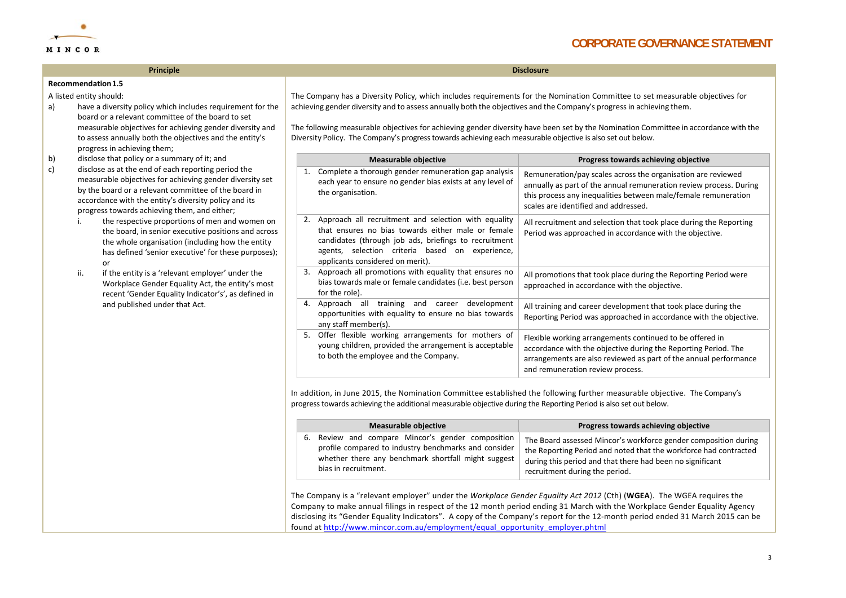

**Principle Disclosure**

#### **Recommendation1.5**

A listed entity should:

- a) have <sup>a</sup> diversity policy which includes requirement for the board or <sup>a</sup> relevant committee of the board to set measurable objectives for achieving gender diversity and to assess annually both the objectives and the entity's progress in achieving them;
- b) disclose that policy or <sup>a</sup> summary of it; and
- c) disclose as at the end of each reporting period the measurable objectives for achieving gender diversity set by the board or <sup>a</sup> relevant committee of the board in accordance with the entity's diversity policy and its progress towards achieving them, and either;
	- i. the respective proportions of men and women on the board, in senior executive positions and across the whole organisation (including how the entity has defined 'senior executive' for these purposes); or
	- ii. if the entity is <sup>a</sup> 'relevant employer' under the Workplace Gender Equality Act, the entity's most recent 'Gender Equality Indicator's', as defined in and published under that Act.

The Company has <sup>a</sup> Diversity Policy, which includes requirements for the Nomination Committee to set measurable objectives for achieving gender diversity and to assess annually both the objectives and the Company's progressin achieving them.

The following measurable objectives for achieving gender diversity have been set by the Nomination Committee in accordance with the Diversity Policy. The Company's progresstowards achieving each measurable objective is also set out below.

| <b>Measurable objective</b> |                                                                                                                                                                                                                                                            | Progress towards achieving objective                                                                                                                                                                                                         |
|-----------------------------|------------------------------------------------------------------------------------------------------------------------------------------------------------------------------------------------------------------------------------------------------------|----------------------------------------------------------------------------------------------------------------------------------------------------------------------------------------------------------------------------------------------|
| 1.                          | Complete a thorough gender remuneration gap analysis<br>each year to ensure no gender bias exists at any level of<br>the organisation.                                                                                                                     | Remuneration/pay scales across the organisation are reviewed<br>annually as part of the annual remuneration review process. During<br>this process any inequalities between male/female remuneration<br>scales are identified and addressed. |
| 2.                          | Approach all recruitment and selection with equality<br>that ensures no bias towards either male or female<br>candidates (through job ads, briefings to recruitment<br>agents, selection criteria based on experience,<br>applicants considered on merit). | All recruitment and selection that took place during the Reporting<br>Period was approached in accordance with the objective.                                                                                                                |
| 3.                          | Approach all promotions with equality that ensures no<br>bias towards male or female candidates (i.e. best person<br>for the role).                                                                                                                        | All promotions that took place during the Reporting Period were<br>approached in accordance with the objective.                                                                                                                              |
| 4.                          | Approach all training and career<br>development<br>opportunities with equality to ensure no bias towards<br>any staff member(s).                                                                                                                           | All training and career development that took place during the<br>Reporting Period was approached in accordance with the objective.                                                                                                          |
| 5.                          | Offer flexible working arrangements for mothers of<br>young children, provided the arrangement is acceptable<br>to both the employee and the Company.                                                                                                      | Flexible working arrangements continued to be offered in<br>accordance with the objective during the Reporting Period. The<br>arrangements are also reviewed as part of the annual performance<br>and remuneration review process.           |

In addition, in June 2015, the Nomination Committee established the following further measurable objective. The Company's progresstowards achieving the additional measurable objective during the Reporting Period is also set out below.

| Measurable objective                                 | Progress towards achieving objective                             |
|------------------------------------------------------|------------------------------------------------------------------|
| 6. Review and compare Mincor's gender composition    | The Board assessed Mincor's workforce gender composition during  |
| profile compared to industry benchmarks and consider | the Reporting Period and noted that the workforce had contracted |
| whether there any benchmark shortfall might suggest  | during this period and that there had been no significant        |
| bias in recruitment.                                 | recruitment during the period.                                   |

The Company is <sup>a</sup> "relevant employer" under the *Workplace Gender Equality Act 2012* (Cth) (**WGEA**). The WGEA requires the Company to make annual filings in respect of the 12 month period ending 31 March with the Workplace Gender Equality Agency disclosing its "Gender Equality Indicators". A copy of the Company's report for the 12‐month period ended 31 March 2015 can be found at http://www.mincor.com.au/employment/equal\_opportunity\_employer.phtml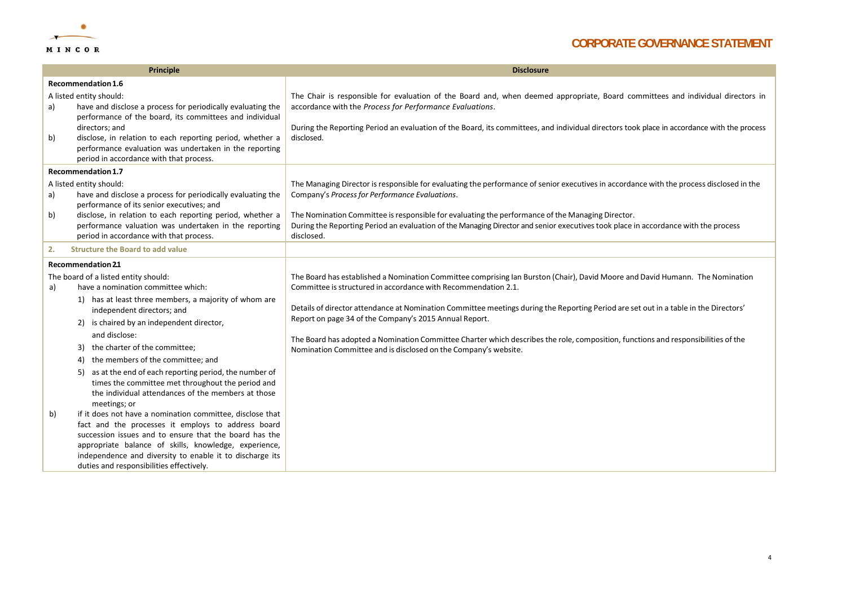

|                                               | <b>Principle</b>                                                                                                                                                                                                                                                                                                                           | <b>Disclosure</b>                                                                                                                                                                                                                                                                                                                         |
|-----------------------------------------------|--------------------------------------------------------------------------------------------------------------------------------------------------------------------------------------------------------------------------------------------------------------------------------------------------------------------------------------------|-------------------------------------------------------------------------------------------------------------------------------------------------------------------------------------------------------------------------------------------------------------------------------------------------------------------------------------------|
| a)                                            | Recommendation 1.6<br>A listed entity should:<br>have and disclose a process for periodically evaluating the<br>performance of the board, its committees and individual<br>directors; and                                                                                                                                                  | The Chair is responsible for evaluation of the Board and, when deemed appropriate, Board committees and individual directors in<br>accordance with the Process for Performance Evaluations.<br>During the Reporting Period an evaluation of the Board, its committees, and individual directors took place in accordance with the process |
| b)                                            | disclose, in relation to each reporting period, whether a<br>performance evaluation was undertaken in the reporting<br>period in accordance with that process.                                                                                                                                                                             | disclosed.                                                                                                                                                                                                                                                                                                                                |
|                                               | Recommendation 1.7                                                                                                                                                                                                                                                                                                                         |                                                                                                                                                                                                                                                                                                                                           |
| a)                                            | A listed entity should:<br>have and disclose a process for periodically evaluating the<br>performance of its senior executives; and                                                                                                                                                                                                        | The Managing Director is responsible for evaluating the performance of senior executives in accordance with the process disclosed in the<br>Company's Process for Performance Evaluations.                                                                                                                                                |
| b)                                            | disclose, in relation to each reporting period, whether a<br>performance valuation was undertaken in the reporting<br>period in accordance with that process.                                                                                                                                                                              | The Nomination Committee is responsible for evaluating the performance of the Managing Director.<br>During the Reporting Period an evaluation of the Managing Director and senior executives took place in accordance with the process<br>disclosed.                                                                                      |
| <b>Structure the Board to add value</b><br>2. |                                                                                                                                                                                                                                                                                                                                            |                                                                                                                                                                                                                                                                                                                                           |
|                                               | <b>Recommendation 2.1</b>                                                                                                                                                                                                                                                                                                                  |                                                                                                                                                                                                                                                                                                                                           |
| a)                                            | The board of a listed entity should:<br>have a nomination committee which:<br>1) has at least three members, a majority of whom are                                                                                                                                                                                                        | The Board has established a Nomination Committee comprising Ian Burston (Chair), David Moore and David Humann. The Nomination<br>Committee is structured in accordance with Recommendation 2.1.                                                                                                                                           |
|                                               | independent directors; and<br>is chaired by an independent director,<br>2)                                                                                                                                                                                                                                                                 | Details of director attendance at Nomination Committee meetings during the Reporting Period are set out in a table in the Directors'<br>Report on page 34 of the Company's 2015 Annual Report.                                                                                                                                            |
|                                               | and disclose:<br>the charter of the committee;<br>3)<br>the members of the committee; and<br>4)                                                                                                                                                                                                                                            | The Board has adopted a Nomination Committee Charter which describes the role, composition, functions and responsibilities of the<br>Nomination Committee and is disclosed on the Company's website.                                                                                                                                      |
|                                               | as at the end of each reporting period, the number of<br>5)<br>times the committee met throughout the period and<br>the individual attendances of the members at those<br>meetings; or                                                                                                                                                     |                                                                                                                                                                                                                                                                                                                                           |
| b)                                            | if it does not have a nomination committee, disclose that<br>fact and the processes it employs to address board<br>succession issues and to ensure that the board has the<br>appropriate balance of skills, knowledge, experience,<br>independence and diversity to enable it to discharge its<br>duties and responsibilities effectively. |                                                                                                                                                                                                                                                                                                                                           |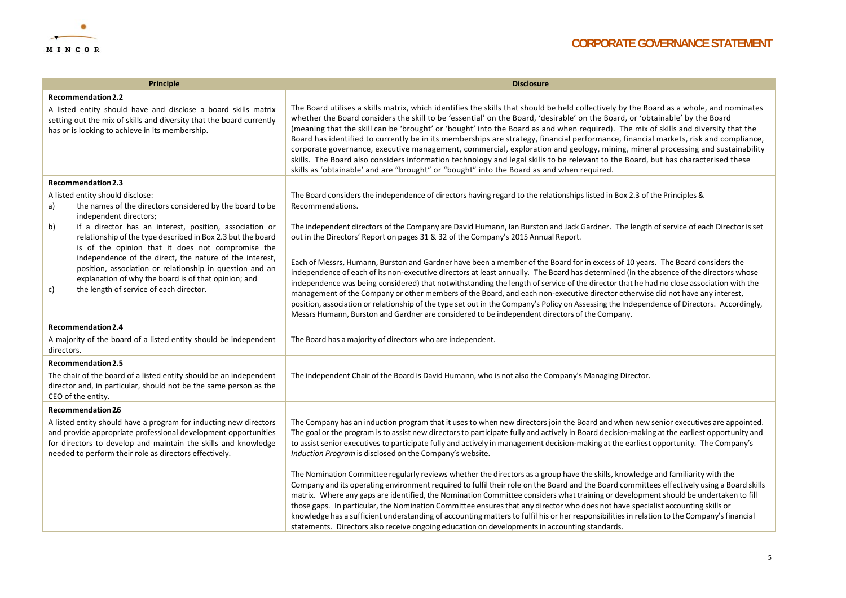

| Principle                                                                                                                                                                                                                                                       | <b>Disclosure</b>                                                                                                                                                                                                                                                                                                                                                                                                                                                                                                                                                                                                                                                                                                                                                                                                                                                                                                          |
|-----------------------------------------------------------------------------------------------------------------------------------------------------------------------------------------------------------------------------------------------------------------|----------------------------------------------------------------------------------------------------------------------------------------------------------------------------------------------------------------------------------------------------------------------------------------------------------------------------------------------------------------------------------------------------------------------------------------------------------------------------------------------------------------------------------------------------------------------------------------------------------------------------------------------------------------------------------------------------------------------------------------------------------------------------------------------------------------------------------------------------------------------------------------------------------------------------|
| <b>Recommendation 2.2</b>                                                                                                                                                                                                                                       |                                                                                                                                                                                                                                                                                                                                                                                                                                                                                                                                                                                                                                                                                                                                                                                                                                                                                                                            |
| A listed entity should have and disclose a board skills matrix<br>setting out the mix of skills and diversity that the board currently<br>has or is looking to achieve in its membership.                                                                       | The Board utilises a skills matrix, which identifies the skills that should be held collectively by the Board as a whole, and nominates<br>whether the Board considers the skill to be 'essential' on the Board, 'desirable' on the Board, or 'obtainable' by the Board<br>(meaning that the skill can be 'brought' or 'bought' into the Board as and when required). The mix of skills and diversity that the<br>Board has identified to currently be in its memberships are strategy, financial performance, financial markets, risk and compliance,<br>corporate governance, executive management, commercial, exploration and geology, mining, mineral processing and sustainability<br>skills. The Board also considers information technology and legal skills to be relevant to the Board, but has characterised these<br>skills as 'obtainable' and are "brought" or "bought" into the Board as and when required. |
| Recommendation 2.3                                                                                                                                                                                                                                              |                                                                                                                                                                                                                                                                                                                                                                                                                                                                                                                                                                                                                                                                                                                                                                                                                                                                                                                            |
| A listed entity should disclose:<br>the names of the directors considered by the board to be<br>a)<br>independent directors;                                                                                                                                    | The Board considers the independence of directors having regard to the relationships listed in Box 2.3 of the Principles &<br>Recommendations.                                                                                                                                                                                                                                                                                                                                                                                                                                                                                                                                                                                                                                                                                                                                                                             |
| if a director has an interest, position, association or<br>b)<br>relationship of the type described in Box 2.3 but the board<br>is of the opinion that it does not compromise the                                                                               | The independent directors of the Company are David Humann, Ian Burston and Jack Gardner. The length of service of each Director is set<br>out in the Directors' Report on pages 31 & 32 of the Company's 2015 Annual Report.                                                                                                                                                                                                                                                                                                                                                                                                                                                                                                                                                                                                                                                                                               |
| independence of the direct, the nature of the interest,<br>position, association or relationship in question and an<br>explanation of why the board is of that opinion; and<br>the length of service of each director.<br>c)                                    | Each of Messrs, Humann, Burston and Gardner have been a member of the Board for in excess of 10 years. The Board considers the<br>independence of each of its non-executive directors at least annually. The Board has determined (in the absence of the directors whose<br>independence was being considered) that notwithstanding the length of service of the director that he had no close association with the<br>management of the Company or other members of the Board, and each non-executive director otherwise did not have any interest,<br>position, association or relationship of the type set out in the Company's Policy on Assessing the Independence of Directors. Accordingly,<br>Messrs Humann, Burston and Gardner are considered to be independent directors of the Company.                                                                                                                        |
| Recommendation 2.4                                                                                                                                                                                                                                              |                                                                                                                                                                                                                                                                                                                                                                                                                                                                                                                                                                                                                                                                                                                                                                                                                                                                                                                            |
| A majority of the board of a listed entity should be independent<br>directors.                                                                                                                                                                                  | The Board has a majority of directors who are independent.                                                                                                                                                                                                                                                                                                                                                                                                                                                                                                                                                                                                                                                                                                                                                                                                                                                                 |
| <b>Recommendation 2.5</b>                                                                                                                                                                                                                                       |                                                                                                                                                                                                                                                                                                                                                                                                                                                                                                                                                                                                                                                                                                                                                                                                                                                                                                                            |
| The chair of the board of a listed entity should be an independent<br>director and, in particular, should not be the same person as the<br>CEO of the entity.                                                                                                   | The independent Chair of the Board is David Humann, who is not also the Company's Managing Director.                                                                                                                                                                                                                                                                                                                                                                                                                                                                                                                                                                                                                                                                                                                                                                                                                       |
| <b>Recommendation 26</b>                                                                                                                                                                                                                                        |                                                                                                                                                                                                                                                                                                                                                                                                                                                                                                                                                                                                                                                                                                                                                                                                                                                                                                                            |
| A listed entity should have a program for inducting new directors<br>and provide appropriate professional development opportunities<br>for directors to develop and maintain the skills and knowledge<br>needed to perform their role as directors effectively. | The Company has an induction program that it uses to when new directors join the Board and when new senior executives are appointed.<br>The goal or the program is to assist new directors to participate fully and actively in Board decision-making at the earliest opportunity and<br>to assist senior executives to participate fully and actively in management decision-making at the earliest opportunity. The Company's<br>Induction Program is disclosed on the Company's website.                                                                                                                                                                                                                                                                                                                                                                                                                                |
|                                                                                                                                                                                                                                                                 | The Nomination Committee regularly reviews whether the directors as a group have the skills, knowledge and familiarity with the<br>Company and its operating environment required to fulfil their role on the Board and the Board committees effectively using a Board skills<br>matrix. Where any gaps are identified, the Nomination Committee considers what training or development should be undertaken to fill<br>those gaps. In particular, the Nomination Committee ensures that any director who does not have specialist accounting skills or<br>knowledge has a sufficient understanding of accounting matters to fulfil his or her responsibilities in relation to the Company's financial<br>statements. Directors also receive ongoing education on developments in accounting standards.                                                                                                                    |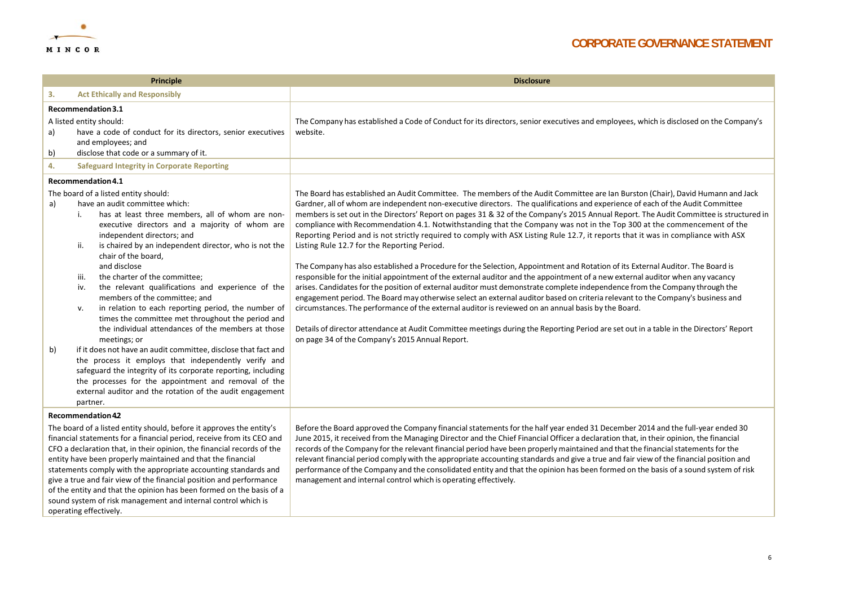

| Principle                                                                                                                                                                                                                                                                                                                                                                                                                                                                                                                                                                                           |                                                                                                                                                                                                                                                                                                                                                                                                                                                                                                                                                                                                                                                                                                                                                                                                                                                                                                                                                                                   | <b>Disclosure</b>                                                                                                                                                                                                                                                                                                                                                                                                                                                                                                                                                                                                                                                                                                                                                                                                                                                                                                                                                                                                                                                                                                                                                                                                                                                                                                                                                                                                                                                                                                                                                  |
|-----------------------------------------------------------------------------------------------------------------------------------------------------------------------------------------------------------------------------------------------------------------------------------------------------------------------------------------------------------------------------------------------------------------------------------------------------------------------------------------------------------------------------------------------------------------------------------------------------|-----------------------------------------------------------------------------------------------------------------------------------------------------------------------------------------------------------------------------------------------------------------------------------------------------------------------------------------------------------------------------------------------------------------------------------------------------------------------------------------------------------------------------------------------------------------------------------------------------------------------------------------------------------------------------------------------------------------------------------------------------------------------------------------------------------------------------------------------------------------------------------------------------------------------------------------------------------------------------------|--------------------------------------------------------------------------------------------------------------------------------------------------------------------------------------------------------------------------------------------------------------------------------------------------------------------------------------------------------------------------------------------------------------------------------------------------------------------------------------------------------------------------------------------------------------------------------------------------------------------------------------------------------------------------------------------------------------------------------------------------------------------------------------------------------------------------------------------------------------------------------------------------------------------------------------------------------------------------------------------------------------------------------------------------------------------------------------------------------------------------------------------------------------------------------------------------------------------------------------------------------------------------------------------------------------------------------------------------------------------------------------------------------------------------------------------------------------------------------------------------------------------------------------------------------------------|
| 3.                                                                                                                                                                                                                                                                                                                                                                                                                                                                                                                                                                                                  | <b>Act Ethically and Responsibly</b>                                                                                                                                                                                                                                                                                                                                                                                                                                                                                                                                                                                                                                                                                                                                                                                                                                                                                                                                              |                                                                                                                                                                                                                                                                                                                                                                                                                                                                                                                                                                                                                                                                                                                                                                                                                                                                                                                                                                                                                                                                                                                                                                                                                                                                                                                                                                                                                                                                                                                                                                    |
| a)<br>b)                                                                                                                                                                                                                                                                                                                                                                                                                                                                                                                                                                                            | Recommendation 3.1<br>A listed entity should:<br>have a code of conduct for its directors, senior executives<br>and employees; and<br>disclose that code or a summary of it.                                                                                                                                                                                                                                                                                                                                                                                                                                                                                                                                                                                                                                                                                                                                                                                                      | The Company has established a Code of Conduct for its directors, senior executives and employees, which is disclosed on the Company's<br>website.                                                                                                                                                                                                                                                                                                                                                                                                                                                                                                                                                                                                                                                                                                                                                                                                                                                                                                                                                                                                                                                                                                                                                                                                                                                                                                                                                                                                                  |
| 4.                                                                                                                                                                                                                                                                                                                                                                                                                                                                                                                                                                                                  | <b>Safeguard Integrity in Corporate Reporting</b>                                                                                                                                                                                                                                                                                                                                                                                                                                                                                                                                                                                                                                                                                                                                                                                                                                                                                                                                 |                                                                                                                                                                                                                                                                                                                                                                                                                                                                                                                                                                                                                                                                                                                                                                                                                                                                                                                                                                                                                                                                                                                                                                                                                                                                                                                                                                                                                                                                                                                                                                    |
|                                                                                                                                                                                                                                                                                                                                                                                                                                                                                                                                                                                                     | Recommendation 4.1                                                                                                                                                                                                                                                                                                                                                                                                                                                                                                                                                                                                                                                                                                                                                                                                                                                                                                                                                                |                                                                                                                                                                                                                                                                                                                                                                                                                                                                                                                                                                                                                                                                                                                                                                                                                                                                                                                                                                                                                                                                                                                                                                                                                                                                                                                                                                                                                                                                                                                                                                    |
| a)<br>b)                                                                                                                                                                                                                                                                                                                                                                                                                                                                                                                                                                                            | The board of a listed entity should:<br>have an audit committee which:<br>has at least three members, all of whom are non-<br>i.<br>executive directors and a majority of whom are<br>independent directors; and<br>is chaired by an independent director, who is not the<br>ii.<br>chair of the board,<br>and disclose<br>the charter of the committee;<br>iii.<br>the relevant qualifications and experience of the<br>iv.<br>members of the committee; and<br>in relation to each reporting period, the number of<br>v.<br>times the committee met throughout the period and<br>the individual attendances of the members at those<br>meetings; or<br>if it does not have an audit committee, disclose that fact and<br>the process it employs that independently verify and<br>safeguard the integrity of its corporate reporting, including<br>the processes for the appointment and removal of the<br>external auditor and the rotation of the audit engagement<br>partner. | The Board has established an Audit Committee. The members of the Audit Committee are Ian Burston (Chair), David Humann and Jack<br>Gardner, all of whom are independent non-executive directors. The qualifications and experience of each of the Audit Committee<br>members is set out in the Directors' Report on pages 31 & 32 of the Company's 2015 Annual Report. The Audit Committee is structured in<br>compliance with Recommendation 4.1. Notwithstanding that the Company was not in the Top 300 at the commencement of the<br>Reporting Period and is not strictly required to comply with ASX Listing Rule 12.7, it reports that it was in compliance with ASX<br>Listing Rule 12.7 for the Reporting Period.<br>The Company has also established a Procedure for the Selection, Appointment and Rotation of its External Auditor. The Board is<br>responsible for the initial appointment of the external auditor and the appointment of a new external auditor when any vacancy<br>arises. Candidates for the position of external auditor must demonstrate complete independence from the Company through the<br>engagement period. The Board may otherwise select an external auditor based on criteria relevant to the Company's business and<br>circumstances. The performance of the external auditor is reviewed on an annual basis by the Board.<br>Details of director attendance at Audit Committee meetings during the Reporting Period are set out in a table in the Directors' Report<br>on page 34 of the Company's 2015 Annual Report. |
| Recommendation 42                                                                                                                                                                                                                                                                                                                                                                                                                                                                                                                                                                                   |                                                                                                                                                                                                                                                                                                                                                                                                                                                                                                                                                                                                                                                                                                                                                                                                                                                                                                                                                                                   |                                                                                                                                                                                                                                                                                                                                                                                                                                                                                                                                                                                                                                                                                                                                                                                                                                                                                                                                                                                                                                                                                                                                                                                                                                                                                                                                                                                                                                                                                                                                                                    |
| The board of a listed entity should, before it approves the entity's<br>financial statements for a financial period, receive from its CEO and<br>CFO a declaration that, in their opinion, the financial records of the<br>entity have been properly maintained and that the financial<br>statements comply with the appropriate accounting standards and<br>give a true and fair view of the financial position and performance<br>of the entity and that the opinion has been formed on the basis of a<br>sound system of risk management and internal control which is<br>operating effectively. |                                                                                                                                                                                                                                                                                                                                                                                                                                                                                                                                                                                                                                                                                                                                                                                                                                                                                                                                                                                   | Before the Board approved the Company financial statements for the half year ended 31 December 2014 and the full-year ended 30<br>June 2015, it received from the Managing Director and the Chief Financial Officer a declaration that, in their opinion, the financial<br>records of the Company for the relevant financial period have been properly maintained and that the financial statements for the<br>relevant financial period comply with the appropriate accounting standards and give a true and fair view of the financial position and<br>performance of the Company and the consolidated entity and that the opinion has been formed on the basis of a sound system of risk<br>management and internal control which is operating effectively.                                                                                                                                                                                                                                                                                                                                                                                                                                                                                                                                                                                                                                                                                                                                                                                                     |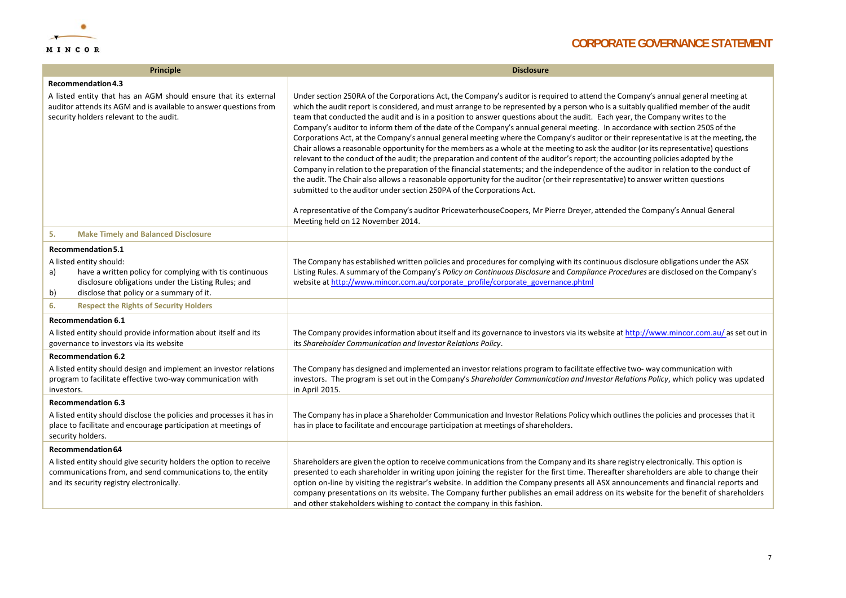

| <b>Principle</b>                                                                                                                                                                                                        | <b>Disclosure</b>                                                                                                                                                                                                                                                                                                                                                                                                                                                                                                                                                                                                                                                                                                                                                                                                                                                                                                                                                                                                                                                                                                                                                                                                                                                                                                                                                                                                                                                                    |
|-------------------------------------------------------------------------------------------------------------------------------------------------------------------------------------------------------------------------|--------------------------------------------------------------------------------------------------------------------------------------------------------------------------------------------------------------------------------------------------------------------------------------------------------------------------------------------------------------------------------------------------------------------------------------------------------------------------------------------------------------------------------------------------------------------------------------------------------------------------------------------------------------------------------------------------------------------------------------------------------------------------------------------------------------------------------------------------------------------------------------------------------------------------------------------------------------------------------------------------------------------------------------------------------------------------------------------------------------------------------------------------------------------------------------------------------------------------------------------------------------------------------------------------------------------------------------------------------------------------------------------------------------------------------------------------------------------------------------|
| Recommendation 4.3                                                                                                                                                                                                      |                                                                                                                                                                                                                                                                                                                                                                                                                                                                                                                                                                                                                                                                                                                                                                                                                                                                                                                                                                                                                                                                                                                                                                                                                                                                                                                                                                                                                                                                                      |
| A listed entity that has an AGM should ensure that its external<br>auditor attends its AGM and is available to answer questions from<br>security holders relevant to the audit.                                         | Under section 250RA of the Corporations Act, the Company's auditor is required to attend the Company's annual general meeting at<br>which the audit report is considered, and must arrange to be represented by a person who is a suitably qualified member of the audit<br>team that conducted the audit and is in a position to answer questions about the audit. Each year, the Company writes to the<br>Company's auditor to inform them of the date of the Company's annual general meeting. In accordance with section 250S of the<br>Corporations Act, at the Company's annual general meeting where the Company's auditor or their representative is at the meeting, the<br>Chair allows a reasonable opportunity for the members as a whole at the meeting to ask the auditor (or its representative) questions<br>relevant to the conduct of the audit; the preparation and content of the auditor's report; the accounting policies adopted by the<br>Company in relation to the preparation of the financial statements; and the independence of the auditor in relation to the conduct of<br>the audit. The Chair also allows a reasonable opportunity for the auditor (or their representative) to answer written questions<br>submitted to the auditor under section 250PA of the Corporations Act.<br>A representative of the Company's auditor PricewaterhouseCoopers, Mr Pierre Dreyer, attended the Company's Annual General<br>Meeting held on 12 November 2014. |
| 5.<br><b>Make Timely and Balanced Disclosure</b>                                                                                                                                                                        |                                                                                                                                                                                                                                                                                                                                                                                                                                                                                                                                                                                                                                                                                                                                                                                                                                                                                                                                                                                                                                                                                                                                                                                                                                                                                                                                                                                                                                                                                      |
| Recommendation 5.1<br>A listed entity should:<br>have a written policy for complying with tis continuous<br>a)<br>disclosure obligations under the Listing Rules; and<br>disclose that policy or a summary of it.<br>b) | The Company has established written policies and procedures for complying with its continuous disclosure obligations under the ASX<br>Listing Rules. A summary of the Company's Policy on Continuous Disclosure and Compliance Procedures are disclosed on the Company's<br>website at http://www.mincor.com.au/corporate_profile/corporate_governance.phtml                                                                                                                                                                                                                                                                                                                                                                                                                                                                                                                                                                                                                                                                                                                                                                                                                                                                                                                                                                                                                                                                                                                         |
| 6.<br><b>Respect the Rights of Security Holders</b>                                                                                                                                                                     |                                                                                                                                                                                                                                                                                                                                                                                                                                                                                                                                                                                                                                                                                                                                                                                                                                                                                                                                                                                                                                                                                                                                                                                                                                                                                                                                                                                                                                                                                      |
| <b>Recommendation 6.1</b>                                                                                                                                                                                               |                                                                                                                                                                                                                                                                                                                                                                                                                                                                                                                                                                                                                                                                                                                                                                                                                                                                                                                                                                                                                                                                                                                                                                                                                                                                                                                                                                                                                                                                                      |
| A listed entity should provide information about itself and its<br>governance to investors via its website                                                                                                              | The Company provides information about itself and its governance to investors via its website at http://www.mincor.com.au/ as set out in<br>its Shareholder Communication and Investor Relations Policy.                                                                                                                                                                                                                                                                                                                                                                                                                                                                                                                                                                                                                                                                                                                                                                                                                                                                                                                                                                                                                                                                                                                                                                                                                                                                             |
| <b>Recommendation 6.2</b>                                                                                                                                                                                               |                                                                                                                                                                                                                                                                                                                                                                                                                                                                                                                                                                                                                                                                                                                                                                                                                                                                                                                                                                                                                                                                                                                                                                                                                                                                                                                                                                                                                                                                                      |
| A listed entity should design and implement an investor relations<br>program to facilitate effective two-way communication with<br>investors.                                                                           | The Company has designed and implemented an investor relations program to facilitate effective two-way communication with<br>investors. The program is set out in the Company's Shareholder Communication and Investor Relations Policy, which policy was updated<br>in April 2015.                                                                                                                                                                                                                                                                                                                                                                                                                                                                                                                                                                                                                                                                                                                                                                                                                                                                                                                                                                                                                                                                                                                                                                                                  |
| <b>Recommendation 6.3</b>                                                                                                                                                                                               |                                                                                                                                                                                                                                                                                                                                                                                                                                                                                                                                                                                                                                                                                                                                                                                                                                                                                                                                                                                                                                                                                                                                                                                                                                                                                                                                                                                                                                                                                      |
| A listed entity should disclose the policies and processes it has in<br>place to facilitate and encourage participation at meetings of<br>security holders.                                                             | The Company has in place a Shareholder Communication and Investor Relations Policy which outlines the policies and processes that it<br>has in place to facilitate and encourage participation at meetings of shareholders.                                                                                                                                                                                                                                                                                                                                                                                                                                                                                                                                                                                                                                                                                                                                                                                                                                                                                                                                                                                                                                                                                                                                                                                                                                                          |
| Recommendation 6.4                                                                                                                                                                                                      |                                                                                                                                                                                                                                                                                                                                                                                                                                                                                                                                                                                                                                                                                                                                                                                                                                                                                                                                                                                                                                                                                                                                                                                                                                                                                                                                                                                                                                                                                      |
| A listed entity should give security holders the option to receive<br>communications from, and send communications to, the entity<br>and its security registry electronically.                                          | Shareholders are given the option to receive communications from the Company and its share registry electronically. This option is<br>presented to each shareholder in writing upon joining the register for the first time. Thereafter shareholders are able to change their<br>option on-line by visiting the registrar's website. In addition the Company presents all ASX announcements and financial reports and<br>company presentations on its website. The Company further publishes an email address on its website for the benefit of shareholders<br>and other stakeholders wishing to contact the company in this fashion.                                                                                                                                                                                                                                                                                                                                                                                                                                                                                                                                                                                                                                                                                                                                                                                                                                               |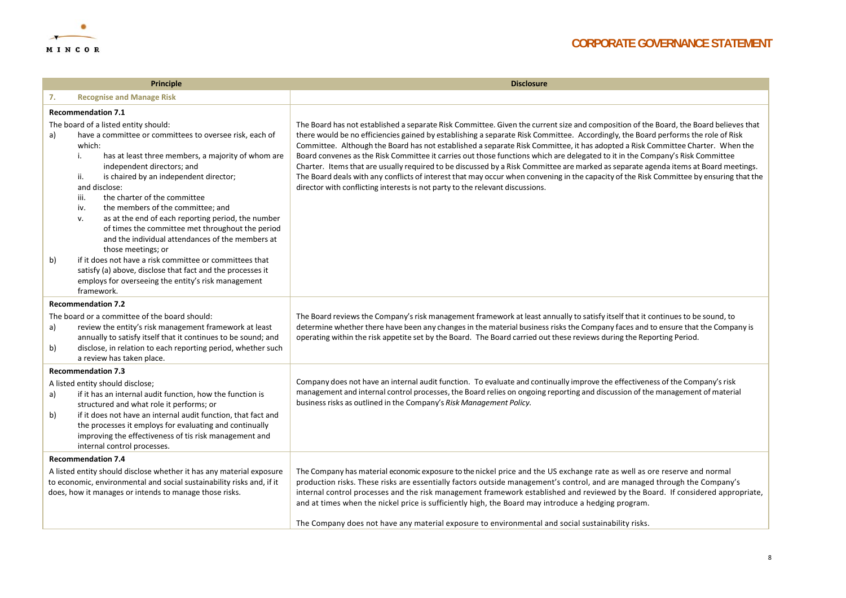

| <b>Principle</b>                                                                                                                                                                                                                                                                                                                                                                                                                     |                                                                                                                                                                                                                                                                                                                                                                                                                                                                                                                                                                                                                                                                                                                                                   | <b>Disclosure</b>                                                                                                                                                                                                                                                                                                                                                                                                                                                                                                                                                                                                                                                                                                                                                                                                                                                                                                |
|--------------------------------------------------------------------------------------------------------------------------------------------------------------------------------------------------------------------------------------------------------------------------------------------------------------------------------------------------------------------------------------------------------------------------------------|---------------------------------------------------------------------------------------------------------------------------------------------------------------------------------------------------------------------------------------------------------------------------------------------------------------------------------------------------------------------------------------------------------------------------------------------------------------------------------------------------------------------------------------------------------------------------------------------------------------------------------------------------------------------------------------------------------------------------------------------------|------------------------------------------------------------------------------------------------------------------------------------------------------------------------------------------------------------------------------------------------------------------------------------------------------------------------------------------------------------------------------------------------------------------------------------------------------------------------------------------------------------------------------------------------------------------------------------------------------------------------------------------------------------------------------------------------------------------------------------------------------------------------------------------------------------------------------------------------------------------------------------------------------------------|
| 7.                                                                                                                                                                                                                                                                                                                                                                                                                                   | <b>Recognise and Manage Risk</b>                                                                                                                                                                                                                                                                                                                                                                                                                                                                                                                                                                                                                                                                                                                  |                                                                                                                                                                                                                                                                                                                                                                                                                                                                                                                                                                                                                                                                                                                                                                                                                                                                                                                  |
| <b>Recommendation 7.1</b>                                                                                                                                                                                                                                                                                                                                                                                                            |                                                                                                                                                                                                                                                                                                                                                                                                                                                                                                                                                                                                                                                                                                                                                   |                                                                                                                                                                                                                                                                                                                                                                                                                                                                                                                                                                                                                                                                                                                                                                                                                                                                                                                  |
| a)<br>b)                                                                                                                                                                                                                                                                                                                                                                                                                             | The board of a listed entity should:<br>have a committee or committees to oversee risk, each of<br>which:<br>has at least three members, a majority of whom are<br>i.<br>independent directors; and<br>is chaired by an independent director;<br>ii.<br>and disclose:<br>the charter of the committee<br>iii.<br>the members of the committee; and<br>iv.<br>as at the end of each reporting period, the number<br>v.<br>of times the committee met throughout the period<br>and the individual attendances of the members at<br>those meetings; or<br>if it does not have a risk committee or committees that<br>satisfy (a) above, disclose that fact and the processes it<br>employs for overseeing the entity's risk management<br>framework. | The Board has not established a separate Risk Committee. Given the current size and composition of the Board, the Board believes that<br>there would be no efficiencies gained by establishing a separate Risk Committee. Accordingly, the Board performs the role of Risk<br>Committee. Although the Board has not established a separate Risk Committee, it has adopted a Risk Committee Charter. When the<br>Board convenes as the Risk Committee it carries out those functions which are delegated to it in the Company's Risk Committee<br>Charter. Items that are usually required to be discussed by a Risk Committee are marked as separate agenda items at Board meetings.<br>The Board deals with any conflicts of interest that may occur when convening in the capacity of the Risk Committee by ensuring that the<br>director with conflicting interests is not party to the relevant discussions. |
| <b>Recommendation 7.2</b><br>The board or a committee of the board should:<br>review the entity's risk management framework at least<br>a)<br>annually to satisfy itself that it continues to be sound; and<br>disclose, in relation to each reporting period, whether such<br>b)                                                                                                                                                    |                                                                                                                                                                                                                                                                                                                                                                                                                                                                                                                                                                                                                                                                                                                                                   | The Board reviews the Company's risk management framework at least annually to satisfy itself that it continues to be sound, to<br>determine whether there have been any changes in the material business risks the Company faces and to ensure that the Company is<br>operating within the risk appetite set by the Board. The Board carried out these reviews during the Reporting Period.                                                                                                                                                                                                                                                                                                                                                                                                                                                                                                                     |
| a review has taken place.<br><b>Recommendation 7.3</b><br>A listed entity should disclose;<br>if it has an internal audit function, how the function is<br>a)<br>structured and what role it performs; or<br>if it does not have an internal audit function, that fact and<br>b)<br>the processes it employs for evaluating and continually<br>improving the effectiveness of tis risk management and<br>internal control processes. |                                                                                                                                                                                                                                                                                                                                                                                                                                                                                                                                                                                                                                                                                                                                                   | Company does not have an internal audit function. To evaluate and continually improve the effectiveness of the Company's risk<br>management and internal control processes, the Board relies on ongoing reporting and discussion of the management of material<br>business risks as outlined in the Company's Risk Management Policy.                                                                                                                                                                                                                                                                                                                                                                                                                                                                                                                                                                            |
|                                                                                                                                                                                                                                                                                                                                                                                                                                      | <b>Recommendation 7.4</b><br>A listed entity should disclose whether it has any material exposure<br>to economic, environmental and social sustainability risks and, if it<br>does, how it manages or intends to manage those risks.                                                                                                                                                                                                                                                                                                                                                                                                                                                                                                              | The Company has material economic exposure to the nickel price and the US exchange rate as well as ore reserve and normal<br>production risks. These risks are essentially factors outside management's control, and are managed through the Company's<br>internal control processes and the risk management framework established and reviewed by the Board. If considered appropriate,<br>and at times when the nickel price is sufficiently high, the Board may introduce a hedging program.<br>The Company does not have any material exposure to environmental and social sustainability risks.                                                                                                                                                                                                                                                                                                             |